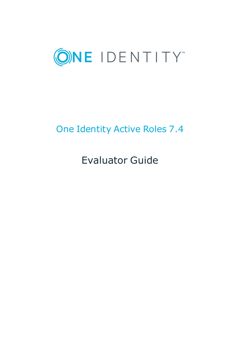

# One Identity Active Roles 7.4

Evaluator Guide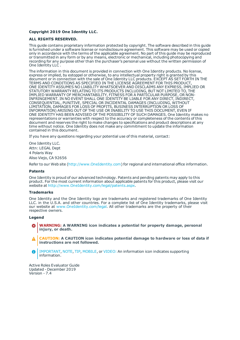#### **Copyright 2019 One Identity LLC.**

#### **ALL RIGHTS RESERVED.**

This guide contains proprietary information protected by copyright. The software described in this guide is furnished under a software license or nondisclosure agreement. This software may be used or copied only in accordance with the terms of the applicable agreement. No part of this guide may be reproduced or transmitted in any form or by any means, electronic or mechanical, including photocopying and recording for any purpose other than the purchaser's personal use without the written permission of One Identity LLC .

The information in this document is provided in connection with One Identity products. No license, express or implied, by estoppel or otherwise, to any intellectual property right is granted by this document or in connection with the sale of One Identity LLC products. EXCEPT AS SET FORTH IN THE TERMS AND CONDITIONS AS SPECIFIED IN THE LICENSE AGREEMENT FOR THIS PRODUCT, ONE IDENTITY ASSUMES NO LIABILITY WHATSOEVER AND DISCLAIMS ANY EXPRESS, IMPLIED OR STATUTORY WARRANTY RELATING TO ITS PRODUCTS INCLUDING, BUT NOT LIMITED TO, THE IMPLIED WARRANTY OF MERCHANTABILITY, FITNESS FOR A PARTICULAR PURPOSE, OR NON-INFRINGEMENT. IN NO EVENT SHALL ONE IDENTITY BE LIABLE FOR ANY DIRECT, INDIRECT, CONSEQUENTIAL, PUNITIVE, SPECIAL OR INCIDENTAL DAMAGES (INCLUDING, WITHOUT LIMITATION, DAMAGES FOR LOSS OF PROFITS, BUSINESS INTERRUPTION OR LOSS OF INFORMATION) ARISING OUT OF THE USE OR INABILITY TO USE THIS DOCUMENT, EVEN IF ONE IDENTITY HAS BEEN ADVISED OF THE POSSIBILITY OF SUCH DAMAGES. One Identity makes no representations or warranties with respect to the accuracy or completeness of the contents of this document and reserves the right to make changes to specifications and product descriptions at any time without notice. One Identity does not make any commitment to update the information contained in this document.

If you have any questions regarding your potential use of this material, contact:

One Identity LLC. Attn: LEGAL Dept 4 Polaris Way Aliso Viejo, CA 92656

Refer to our Web site ([http://www.OneIdentity.com](http://www.oneidentity.com/)) for regional and international office information.

#### **Patents**

One Identity is proud of our advanced technology. Patents and pending patents may apply to this product. For the most current information about applicable patents for this product, please visit our website at [http://www.OneIdentity.com/legal/patents.aspx](http://www.oneidentity.com/legal/patents.aspx).

#### **Trademarks**

One Identity and the One Identity logo are trademarks and registered trademarks of One Identity LLC. in the U.S.A. and other countries. For a complete list of One Identity trademarks, please visit our website at [www.OneIdentity.com/legal](http://www.oneidentity.com/legal). All other trademarks are the property of their respective owners.

#### **Legend**

- **WARNING: A WARNING icon indicates a potential for property damage, personal injury, or death.**
- **CAUTION: A CAUTION icon indicates potential damage to hardware or loss of data if instructions are not followed.**
- IMPORTANT, NOTE, TIP, MOBILE, or VIDEO: An information icon indicates supporting Œ information.

Active Roles Evaluator Guide Updated - December 2019 Version - 7.4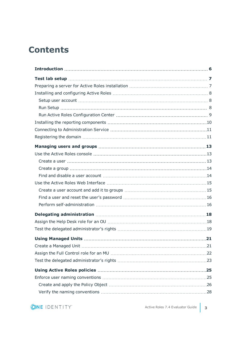## **Contents**

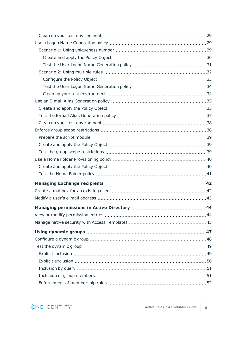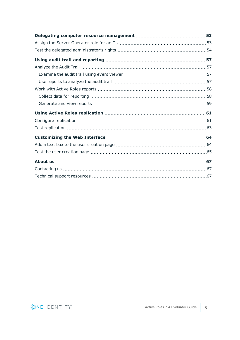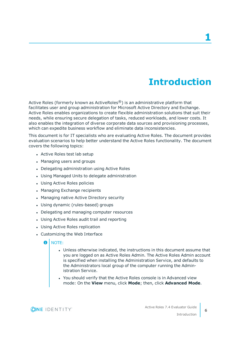## **Introduction**

<span id="page-5-0"></span>Active Roles (formerly known as ActiveRoles<sup>®</sup>) is an administrative platform that facilitates user and group administration for Microsoft Active Directory and Exchange. Active Roles enables organizations to create flexible administration solutions that suit their needs, while ensuring secure delegation of tasks, reduced workloads, and lower costs. It also enables the integration of diverse corporate data sources and provisioning processes, which can expedite business workflow and eliminate data inconsistencies.

This document is for IT specialists who are evaluating Active Roles. The document provides evaluation scenarios to help better understand the Active Roles functionality. The document covers the following topics:

- Active Roles test lab setup
- Managing users and groups
- Delegating administration using Active Roles
- Using Managed Units to delegate administration
- Using Active Roles policies
- Managing Exchange recipients
- Managing native Active Directory security
- Using dynamic (rules-based) groups
- Delegating and managing computer resources
- Using Active Roles audit trail and reporting
- Using Active Roles replication
- Customizing the Web Interface

#### 6 NOTE:

- Unless otherwise indicated, the instructions in this document assume that you are logged on as Active Roles Admin. The Active Roles Admin account is specified when installing the Administration Service, and defaults to the Administrators local group of the computer running the Administration Service.
- You should verify that the Active Roles console is in Advanced view mode: On the **View** menu, click **Mode**; then, click **Advanced Mode**.

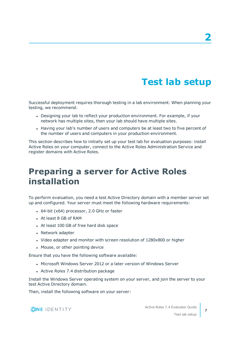# **Test lab setup**

<span id="page-6-0"></span>Successful deployment requires thorough testing in a lab environment. When planning your testing, we recommend:

- Designing your lab to reflect your production environment. For example, if your network has multiple sites, then your lab should have multiple sites.
- Having your lab's number of users and computers be at least two to five percent of the number of users and computers in your production environment.

This section describes how to initially set up your test lab for evaluation purposes: install Active Roles on your computer, connect to the Active Roles Administration Service and register domains with Active Roles.

## <span id="page-6-1"></span>**Preparing a server for Active Roles installation**

To perform evaluation, you need a test Active Directory domain with a member server set up and configured. Your server must meet the following hardware requirements:

- $-64$ -bit (x64) processor, 2.0 GHz or faster
- <sup>l</sup> At least 8 GB of RAM
- At least 100 GB of free hard disk space
- Network adapter
- Video adapter and monitor with screen resolution of 1280x800 or higher
- Mouse, or other pointing device

Ensure that you have the following software available:

- . Microsoft Windows Server 2012 or a later version of Windows Server
- Active Roles 7.4 distribution package

Install the Windows Server operating system on your server, and join the server to your test Active Directory domain.

Then, install the following software on your server:



Test lab setup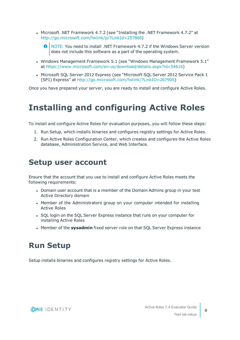- <sup>l</sup> Microsoft .NET Framework 4.7.2 (see "Installing the .NET Framework 4.7.2" at [http://go.microsoft.com/fwlink/p/?LinkId=257868\)](http://go.microsoft.com/fwlink/p/?LinkId=257868)
	- 0 NOTE: You need to install .NET Framework 4.7.2 if the Windows Server version does not include this software as a part of the operating system.
- Windows Management Framework 5.1 (see "Windows Management Framework 5.1" at [https://www.microsoft.com/en-us/download/details.aspx?id=54616\)](https://www.microsoft.com/en-us/download/details.aspx?id=54616)
- Microsoft SQL Server 2012 Express (see "Microsoft SQL Server 2012 Service Pack 1 (SP1) Express" at [http://go.microsoft.com/fwlink/?LinkID=267905\)](http://go.microsoft.com/fwlink/?LinkID=267905)

<span id="page-7-0"></span>Once you have prepared your server, you are ready to install and configure Active Roles.

## **Installing and configuring Active Roles**

To install and configure Active Roles for evaluation purposes, you will follow these steps:

- 1. Run Setup, which installs binaries and configures registry settings for Active Roles.
- 2. Run Active Roles Configuration Center, which creates and configures the Active Roles database, Administration Service, and Web Interface.

### <span id="page-7-1"></span>**Setup user account**

Ensure that the account that you use to install and configure Active Roles meets the following requirements:

- Domain user account that is a member of the Domain Admins group in your test Active Directory domain
- Member of the Administrators group on your computer intended for installing Active Roles
- SQL login on the SQL Server Express instance that runs on your computer for installing Active Roles
- <span id="page-7-2"></span>**.** Member of the **sysadmin** fixed server role on that SQL Server Express instance

### **Run Setup**

Setup installs binaries and configures registry settings for Active Roles.

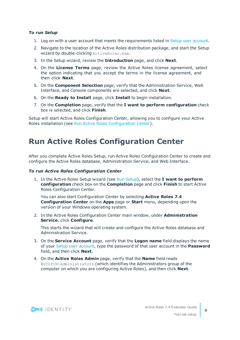#### *To run Setup*

- 1. Log on with a user account that meets the requirements listed in Setup user [account.](#page-7-1)
- 2. Navigate to the location of the Active Roles distribution package, and start the Setup wizard by double-clicking ActiveRoles.exe.
- 3. In the Setup wizard, review the **Introduction** page, and click **Next**.
- 4. On the **License Terms** page, review the Active Roles license agreement, select the option indicating that you accept the terms in the license agreement, and then click **Next**.
- 5. On the **Component Selection** page, verify that the Administration Service, Web Interface, and Console components are selected, and click **Next**.
- 6. On the **Ready to Install** page, click **Install** to begin installation.
- 7. On the **Completion** page, verify that the **I want to perform configuration** check box is selected, and click **Finish**.

Setup will start Active Roles Configuration Center, allowing you to configure your Active Roles installation (see Run Active Roles [Configuration](#page-8-0) Center).

### <span id="page-8-0"></span>**Run Active Roles Configuration Center**

After you complete Active Roles Setup, run Active Roles Configuration Center to create and configure the Active Roles database, Administration Service, and Web Interface.

#### *To run Active Roles Configuration Center*

1. In the Active Roles Setup wizard (see Run [Setup\)](#page-7-2), select the **I want to perform configuration** check box on the **Completion** page and click **Finish** to start Active Roles Configuration Center.

You can also start Configuration Center by selecting **Active Roles 7.4 Configuration Center** on the **Apps** page or **Start** menu, depending upon the version of your Windows operating system.

2. In the Active Roles Configuration Center main window, under **Administration Service**, click **Configure**.

This starts the wizard that will create and configure the Active Roles database and Administration Service.

- 3. On the **Service Account** page, verify that the **Logon name** field displays the name of your Setup user [account](#page-7-1), type the password of that user account in the **Password** field, and then click **Next**.
- 4. On the **Active Roles Admin** page, verify that the **Name** field reads BUILTIN\Administrators (which identifies the Administrators group of the computer on which you are configuring Active Roles), and then click **Next**.

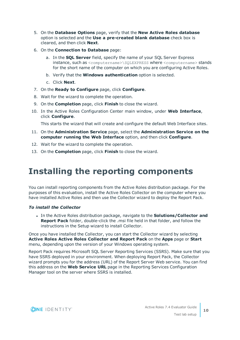- 5. On the **Database Options** page, verify that the **New Active Roles database** option is selected and the **Use a pre-created blank database** check box is cleared, and then click **Next**.
- 6. On the **Connection to Database** page:
	- a. In the **SQL Server** field, specify the name of your SQL Server Express instance, such as <computername>\SQLEXPRESS where <computername> stands for the short name of the computer on which you are configuring Active Roles.
	- b. Verify that the **Windows authentication** option is selected.
	- c. Click **Next**.
- 7. On the **Ready to Configure** page, click **Configure**.
- 8. Wait for the wizard to complete the operation.
- 9. On the **Completion** page, click **Finish** to close the wizard.
- 10. In the Active Roles Configuration Center main window, under **Web Interface**, click **Configure**.

This starts the wizard that will create and configure the default Web Interface sites.

- 11. On the **Administration Service** page, select the **Administration Service on the computer running the Web Interface** option, and then click **Configure**.
- 12. Wait for the wizard to complete the operation.
- <span id="page-9-0"></span>13. On the **Completion** page, click **Finish** to close the wizard.

## **Installing the reporting components**

You can install reporting components from the Active Roles distribution package. For the purposes of this evaluation, install the Active Roles Collector on the computer where you have installed Active Roles and then use the Collector wizard to deploy the Report Pack.

#### *To install the Collector*

<sup>l</sup> In the Active Roles distribution package, navigate to the **Solutions/Collector and Report Pack** folder, double-click the .msi file held in that folder, and follow the instructions in the Setup wizard to install Collector.

Once you have installed the Collector, you can start the Collector wizard by selecting **Active Roles Active Roles Collector and Report Pack** on the **Apps** page or **Start** menu, depending upon the version of your Windows operating system.

Report Pack requires Microsoft SQL Server Reporting Services (SSRS). Make sure that you have SSRS deployed in your environment. When deploying Report Pack, the Collector wizard prompts you for the address (URL) of the Report Server Web service. You can find this address on the **Web Service URL** page in the Reporting Services Configuration Manager tool on the server where SSRS is installed.

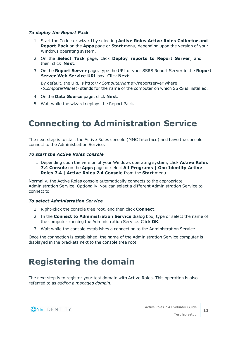#### *To deploy the Report Pack*

- 1. Start the Collector wizard by selecting **Active Roles Active Roles Collector and Report Pack** on the **Apps** page or **Start** menu, depending upon the version of your Windows operating system.
- 2. On the **Select Task** page, click **Deploy reports to Report Server**, and then click **Next**.
- 3. On the **Report Server** page, type the URL of your SSRS Report Server in the **Report Server Web Service URL** box. Click **Next**.

By default, the URL is http://*<ComputerName>*/reportserver where *<ComputerName>* stands for the name of the computer on which SSRS is installed.

- 4. On the **Data Source** page, click **Next**.
- <span id="page-10-0"></span>5. Wait while the wizard deploys the Report Pack.

## **Connecting to Administration Service**

The next step is to start the Active Roles console (MMC Interface) and have the console connect to the Administration Service.

#### *To start the Active Roles console*

<sup>l</sup> Depending upon the version of your Windows operating system, click **Active Roles 7.4 Console** on the **Apps** page or select **All Programs | One Identity Active Roles 7.4 | Active Roles 7.4 Console** from the **Start** menu.

Normally, the Active Roles console automatically connects to the appropriate Administration Service. Optionally, you can select a different Administration Service to connect to.

#### *To select Administration Service*

- 1. Right-click the console tree root, and then click **Connect**.
- 2. In the **Connect to Administration Service** dialog box, type or select the name of the computer running the Administration Service. Click **OK**.
- 3. Wait while the console establishes a connection to the Administration Service.

Once the connection is established, the name of the Administration Service computer is displayed in the brackets next to the console tree root.

## <span id="page-10-1"></span>**Registering the domain**

The next step is to register your test domain with Active Roles. This operation is also referred to as *adding a managed domain*.

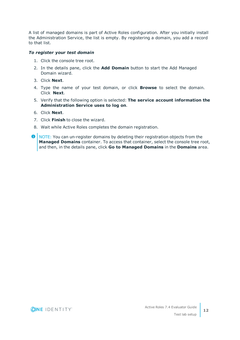A list of managed domains is part of Active Roles configuration. After you initially install the Administration Service, the list is empty. By registering a domain, you add a record to that list.

#### *To register your test domain*

- 1. Click the console tree root.
- 2. In the details pane, click the **Add Domain** button to start the Add Managed Domain wizard.
- 3. Click **Next**.
- 4. Type the name of your test domain, or click **Browse** to select the domain. Click **Next**.
- 5. Verify that the following option is selected: **The service account information the Administration Service uses to log on**.
- 6. Click **Next**.
- 7. Click **Finish** to close the wizard.
- 8. Wait while Active Roles completes the domain registration.
- **O** NOTE: You can un-register domains by deleting their registration objects from the **Managed Domains** container. To access that container, select the console tree root, and then, in the details pane, click **Go to Managed Domains** in the **Domains** area.

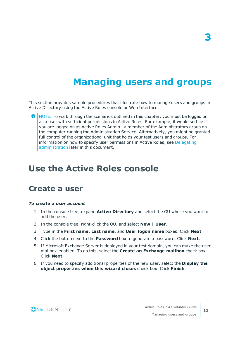# **Managing users and groups**

<span id="page-12-0"></span>This section provides sample procedures that illustrate how to manage users and groups in Active Directory using the Active Roles console or Web Interface.

6 NOTE: To walk through the scenarios outlined in this chapter, you must be logged on as a user with sufficient permissions in Active Roles. For example, it would suffice if you are logged on as Active Roles Admin—a member of the Administrators group on the computer running the Administration Service. Alternatively, you might be granted full control of the organizational unit that holds your test users and groups. For information on how to specify user permissions in Active Roles, see [Delegating](#page-17-0) [administration](#page-17-0) later in this document.

## <span id="page-12-1"></span>**Use the Active Roles console**

### <span id="page-12-2"></span>**Create a user**

#### *To create a user account*

- 1. In the console tree, expand **Active Directory** and select the OU where you want to add the user.
- 2. In the console tree, right-click the OU, and select **New | User**.
- 3. Type in the **First name**, **Last name**, and **User logon name** boxes. Click **Next**.
- 4. Click the button next to the **Password** box to generate a password. Click **Next**.
- 5. If Microsoft Exchange Server is deployed in your test domain, you can make the user mailbox-enabled. To do this, select the **Create an Exchange mailbox** check box. Click **Next**.
- 6. If you need to specify additional properties of the new user, select the **Display the object properties when this wizard closes** check box. Click **Finish**.

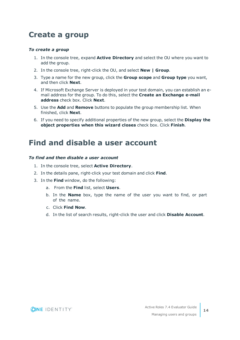### <span id="page-13-0"></span>**Create a group**

#### *To create a group*

- 1. In the console tree, expand **Active Directory** and select the OU where you want to add the group.
- 2. In the console tree, right-click the OU, and select **New | Group**.
- 3. Type a name for the new group, click the **Group scope** and **Group type** you want, and then click **Next**.
- 4. If Microsoft Exchange Server is deployed in your test domain, you can establish an email address for the group. To do this, select the **Create an Exchange e-mail address** check box. Click **Next**.
- 5. Use the **Add** and **Remove** buttons to populate the group membership list. When finished, click **Next**.
- 6. If you need to specify additional properties of the new group, select the **Display the object properties when this wizard closes** check box. Click **Finish**.

### <span id="page-13-1"></span>**Find and disable a user account**

#### *To find and then disable a user account*

- 1. In the console tree, select **Active Directory**.
- 2. In the details pane, right-click your test domain and click **Find**.
- 3. In the **Find** window, do the following:
	- a. From the **Find** list, select **Users**.
	- b. In the **Name** box, type the name of the user you want to find, or part of the name.
	- c. Click **Find Now**.
	- d. In the list of search results, right-click the user and click **Disable Account**.

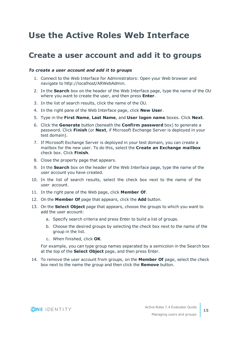## <span id="page-14-0"></span>**Use the Active Roles Web Interface**

### <span id="page-14-1"></span>**Create a user account and add it to groups**

#### *To create a user account and add it to groups*

- 1. Connect to the Web Interface for Administrators: Open your Web browser and navigate to http://localhost/ARWebAdmin.
- 2. In the **Search** box on the header of the Web Interface page, type the name of the OU where you want to create the user, and then press **Enter**.
- 3. In the list of search results, click the name of the OU.
- 4. In the right pane of the Web Interface page, click **New User**.
- 5. Type in the **First Name**, **Last Name**, and **User logon name** boxes. Click **Next**.
- 6. Click the **Generate** button (beneath the **Confirm password** box) to generate a password. Click **Finish** (or **Next**, if Microsoft Exchange Server is deployed in your test domain).
- 7. If Microsoft Exchange Server is deployed in your test domain, you can create a mailbox for the new user. To do this, select the **Create an Exchange mailbox** check box. Click **Finish**.
- 8. Close the property page that appears.
- 9. In the **Search** box on the header of the Web Interface page, type the name of the user account you have created.
- 10. In the list of search results, select the check box next to the name of the user account.
- 11. In the right pane of the Web page, click **Member Of**.
- 12. On the **Member Of** page that appears, click the **Add** button.
- 13. On the **Select Object** page that appears, choose the groups to which you want to add the user account:
	- a. Specify search criteria and press Enter to build a list of groups.
	- b. Choose the desired groups by selecting the check box next to the name of the group in the list.
	- c. When finished, click **OK**.

For example, you can type group names separated by a semicolon in the Search box at the top of the **Select Object** page, and then press Enter.

14. To remove the user account from groups, on the **Member Of** page, select the check box next to the name the group and then click the **Remove** button.

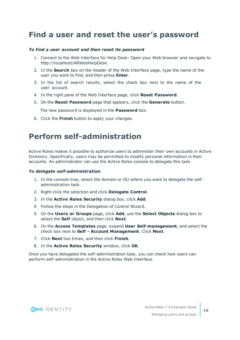### <span id="page-15-0"></span>**Find a user and reset the user's password**

#### *To find a user account and then reset its password*

- 1. Connect to the Web Interface for Help Desk: Open your Web browser and navigate to http://localhost/ARWebHelpDesk.
- 2. In the **Search** box on the header of the Web Interface page, type the name of the user you want to find, and then press **Enter**.
- 3. In the list of search results, select the check box next to the name of the user account.
- 4. In the right pane of the Web Interface page, click **Reset Password**.
- 5. On the **Reset Password** page that appears, click the **Generate** button.

The new password is displayed in the **Password** box.

<span id="page-15-1"></span>6. Click the **Finish** button to apply your changes.

### **Perform self-administration**

Active Roles makes it possible to authorize users to administer their own accounts in Active Directory. Specifically, users may be permitted to modify personal information in their accounts. An administrator can use the Active Roles console to delegate this task.

#### *To delegate self-administration*

- 1. In the console tree, select the domain or OU where you want to delegate the selfadministration task.
- 2. Right-click the selection and click **Delegate Control**.
- 3. In the **Active Roles Security** dialog box, click **Add**.
- 4. Follow the steps in the Delegation of Control Wizard.
- 5. On the **Users or Groups** page, click **Add**, use the **Select Objects** dialog box to select the **Self** object, and then click **Next**.
- 6. On the **Access Templates** page, expand **User Self-management**, and select the check box next to **Self - Account Management**. Click **Next**.
- 7. Click **Next** two times, and then click **Finish**.
- 8. In the **Active Roles Security** window, click **OK**.

Once you have delegated the self-administration task, you can check how users can perform self-administration in the Active Roles Web Interface.

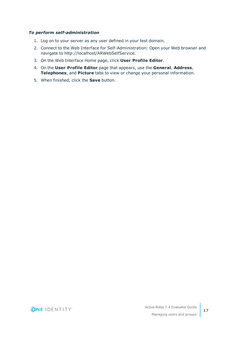#### *To perform self-administration*

- 1. Log on to your server as any user defined in your test domain.
- 2. Connect to the Web Interface for Self-Administration: Open your Web browser and navigate to http://localhost/ARWebSelfService.
- 3. On the Web Interface Home page, click **User Profile Editor**.
- 4. On the **User Profile Editor** page that appears, use the **General**, **Address**, **Telephones**, and **Picture** tabs to view or change your personal information.
- 5. When finished, click the **Save** button.

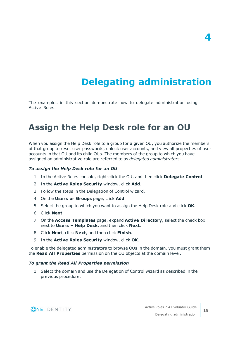# **Delegating administration**

<span id="page-17-0"></span>The examples in this section demonstrate how to delegate administration using Active Roles.

## <span id="page-17-1"></span>**Assign the Help Desk role for an OU**

When you assign the Help Desk role to a group for a given OU, you authorize the members of that group to reset user passwords, unlock user accounts, and view all properties of user accounts in that OU and its child OUs. The members of the group to which you have assigned an administrative role are referred to as *delegated administrators*.

#### *To assign the Help Desk role for an OU*

- 1. In the Active Roles console, right-click the OU, and then click **Delegate Control**.
- 2. In the **Active Roles Security** window, click **Add**.
- 3. Follow the steps in the Delegation of Control wizard.
- 4. On the **Users or Groups** page, click **Add**.
- 5. Select the group to which you want to assign the Help Desk role and click **OK**.
- 6. Click **Next**.
- 7. On the **Access Templates** page, expand **Active Directory**, select the check box next to **Users – Help Desk**, and then click **Next**.
- 8. Click **Next**, click **Next**, and then click **Finish**.
- 9. In the **Active Roles Security** window, click **OK**.

To enable the delegated administrators to browse OUs in the domain, you must grant them the **Read All Properties** permission on the OU objects at the domain level.

#### *To grant the Read All Properties permission*

1. Select the domain and use the Delegation of Control wizard as described in the previous procedure.



**4**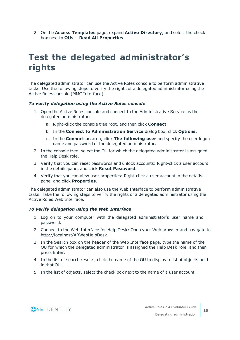2. On the **Access Templates** page, expand **Active Directory**, and select the check box next to **OUs – Read All Properties**.

## <span id="page-18-0"></span>**Test the delegated administrator's rights**

The delegated administrator can use the Active Roles console to perform administrative tasks. Use the following steps to verify the rights of a delegated administrator using the Active Roles console (MMC Interface).

#### *To verify delegation using the Active Roles console*

- 1. Open the Active Roles console and connect to the Administrative Service as the delegated administrator:
	- a. Right-click the console tree root, and then click **Connect**.
	- b. In the **Connect to Administration Service** dialog box, click **Options**.
	- c. In the **Connect as** area, click **The following user** and specify the user logon name and password of the delegated administrator.
- 2. In the console tree, select the OU for which the delegated administrator is assigned the Help Desk role.
- 3. Verify that you can reset passwords and unlock accounts: Right-click a user account in the details pane, and click **Reset Password**.
- 4. Verify that you can view user properties: Right-click a user account in the details pane, and click **Properties**.

The delegated administrator can also use the Web Interface to perform administrative tasks. Take the following steps to verify the rights of a delegated administrator using the Active Roles Web Interface.

#### *To verify delegation using the Web Interface*

- 1. Log on to your computer with the delegated administrator's user name and password.
- 2. Connect to the Web Interface for Help Desk: Open your Web browser and navigate to http://localhost/ARWebHelpDesk.
- 3. In the Search box on the header of the Web Interface page, type the name of the OU for which the delegated administrator is assigned the Help Desk role, and then press Enter.
- 4. In the list of search results, click the name of the OU to display a list of objects held in that OU.
- 5. In the list of objects, select the check box next to the name of a user account.

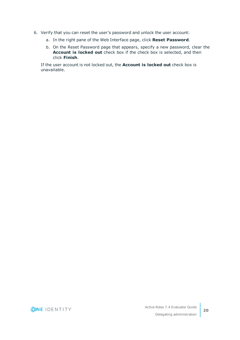- 6. Verify that you can reset the user's password and unlock the user account:
	- a. In the right pane of the Web Interface page, click **Reset Password**.
	- b. On the Reset Password page that appears, specify a new password, clear the **Account is locked out** check box if the check box is selected, and then click **Finish**.

If the user account is not locked out, the **Account is locked out** check box is unavailable.

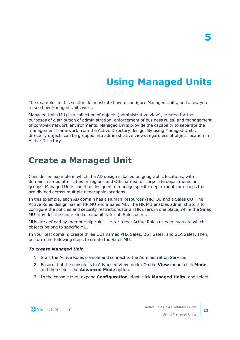# **Using Managed Units**

<span id="page-20-0"></span>The examples in this section demonstrate how to configure Managed Units, and allow you to see how Managed Units work.

Managed Unit (MU) is a collection of objects (administrative view), created for the purposes of distribution of administration, enforcement of business rules, and management of complex network environments. Managed Units provide the capability to separate the management framework from the Active Directory design. By using Managed Units, directory objects can be grouped into administrative views regardless of object location in Active Directory.

### <span id="page-20-1"></span>**Create a Managed Unit**

Consider an example in which the AD design is based on geographic locations, with domains named after cities or regions and OUs named for corporate departments or groups. Managed Units could be designed to manage specific departments or groups that are divided across multiple geographic locations.

In this example, each AD domain has a Human Resources (HR) OU and a Sales OU. The Active Roles design has an HR MU and a Sales MU. The HR MU enables administrators to configure the policies and security restrictions for all HR users in one place, while the Sales MU provides the same kind of capability for all Sales users.

MUs are defined by membership rules—criteria that Active Roles uses to evaluate which objects belong to specific MU.

In your test domain, create three OUs named PHX Sales, BST Sales, and SEA Sales. Then, perform the following steps to create the Sales MU.

#### *To create Managed Unit*

- 1. Start the Active Roles console and connect to the Administration Service.
- 2. Ensure that the console is in Advanced View mode: On the **View** menu, click **Mode**, and then select the **Advanced Mode** option.
- 3. In the console tree, expand **Configuration**, right-click **Managed Units**, and select

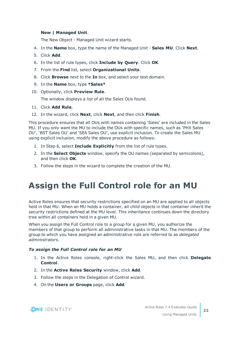#### **New | Managed Unit**.

The New Object - Managed Unit wizard starts.

- 4. In the **Name** box, type the name of the Managed Unit **Sales MU**. Click **Next**.
- 5. Click **Add**.
- 6. In the list of rule types, click **Include by Query**. Click **OK**.
- 7. From the **Find** list, select **Organizational Units**.
- 8. Click **Browse** next to the **In** box, and select your test domain.
- 9. In the **Name** box, type **\*Sales\***
- 10. Optionally, click **Preview Rule**.

The window displays a list of all the Sales OUs found.

- 11. Click **Add Rule**.
- 12. In the wizard, click **Next**, click **Next**, and then click **Finish**.

This procedure ensures that all OUs with names containing 'Sales' are included in the Sales MU. If you only want the MU to include the OUs with specific names, such as 'PHX Sales OU', 'BST Sales OU' and 'SEA Sales OU', use explicit inclusion. To create the Sales MU using explicit inclusion, modify the above procedure as follows:

- 1. In Step 6, select **Include Explicitly** from the list of rule types.
- 2. In the **Select Objects** window, specify the OU names (separated by semicolons), and then click **OK**.
- <span id="page-21-0"></span>3. Follow the steps in the wizard to complete the creation of the MU.

## **Assign the Full Control role for an MU**

Active Roles ensures that security restrictions specified on an MU are applied to all objects held in that MU. When an MU holds a container, all child objects in that container inherit the security restrictions defined at the MU level. This inheritance continues down the directory tree within all containers held in a given MU.

When you assign the Full Control role to a group for a given MU, you authorize the members of that group to perform all administrative tasks in that MU. The members of the group to which you have assigned an administrative role are referred to as *delegated administrators*.

#### *To assign the Full Control role for an MU*

- 1. In the Active Roles console, right-click the Sales MU, and then click **Delegate Control**.
- 2. In the **Active Roles Security** window, click **Add**.
- 3. Follow the steps in the Delegation of Control wizard.
- 4. On the **Users or Groups** page, click **Add**.

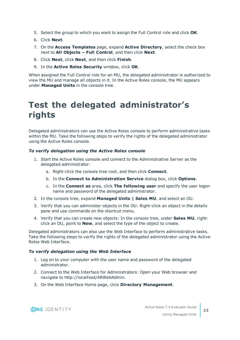- 5. Select the group to which you want to assign the Full Control role and click **OK**.
- 6. Click **Next**.
- 7. On the **Access Templates** page, expand **Active Directory**, select the check box next to **All Objects – Full Control**, and then click **Next**.
- 8. Click **Next**, click **Next**, and then click **Finish**.
- 9. In the **Active Roles Security** window, click **OK**.

When assigned the Full Control role for an MU, the delegated administrator is authorized to view the MU and manage all objects in it. In the Active Roles console, the MU appears under **Managed Units** in the console tree.

## <span id="page-22-0"></span>**Test the delegated administrator's rights**

Delegated administrators can use the Active Roles console to perform administrative tasks within the MU. Take the following steps to verify the rights of the delegated administrator using the Active Roles console.

#### *To verify delegation using the Active Roles console*

- 1. Start the Active Roles console and connect to the Administrative Server as the delegated administrator:
	- a. Right-click the console tree root, and then click **Connect**.
	- b. In the **Connect to Administration Service** dialog box, click **Options**.
	- c. In the **Connect as** area, click **The following user** and specify the user logon name and password of the delegated administrator.
- 2. In the console tree, expand **Managed Units | Sales MU**, and select an OU.
- 3. Verify that you can administer objects in the OU: Right-click an object in the details pane and use commands on the shortcut menu.
- 4. Verify that you can create new objects: In the console tree, under **Sales MU**, rightclick an OU, point to **New**, and select the type of the object to create.

Delegated administrators can also use the Web Interface to perform administrative tasks. Take the following steps to verify the rights of the delegated administrator using the Active Roles Web Interface.

#### *To verify delegation using the Web Interface*

- 1. Log on to your computer with the user name and password of the delegated administrator.
- 2. Connect to the Web Interface for Administrators: Open your Web browser and navigate to http://localhost/ARWebAdmin.
- 3. On the Web Interface Home page, click **Directory Management**.

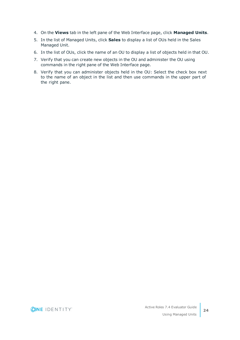- 4. On the **Views** tab in the left pane of the Web Interface page, click **Managed Units**.
- 5. In the list of Managed Units, click **Sales** to display a list of OUs held in the Sales Managed Unit.
- 6. In the list of OUs, click the name of an OU to display a list of objects held in that OU.
- 7. Verify that you can create new objects in the OU and administer the OU using commands in the right pane of the Web Interface page.
- 8. Verify that you can administer objects held in the OU: Select the check box next to the name of an object in the list and then use commands in the upper part of the right pane.

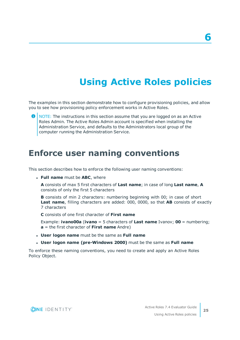# **Using Active Roles policies**

<span id="page-24-0"></span>The examples in this section demonstrate how to configure provisioning policies, and allow you to see how provisioning policy enforcement works in Active Roles.

6 NOTE: The instructions in this section assume that you are logged on as an Active Roles Admin. The Active Roles Admin account is specified when installing the Administration Service, and defaults to the Administrators local group of the computer running the Administration Service.

### <span id="page-24-1"></span>**Enforce user naming conventions**

This section describes how to enforce the following user naming conventions:

<sup>l</sup> **Full name** must be **ABC**, where

**A** consists of max 5 first characters of **Last name**; in case of long **Last name**, **A** consists of only the first 5 characters

**B** consists of min 2 characters: numbering beginning with 00; in case of short **Last name**, filling characters are added: 000, 0000, so that **AB** consists of exactly 7 characters

**C** consists of one first character of **First name**

Example: **ivano00a** (**ivano** = 5 characters of **Last name** Ivanov; **00** = numbering; **a** = the first character of **First name** Andre)

- <sup>l</sup> **User logon name** must be the same as **Full name**
- <sup>l</sup> **User logon name (pre-Windows 2000)** must be the same as **Full name**

To enforce these naming conventions, you need to create and apply an Active Roles Policy Object.

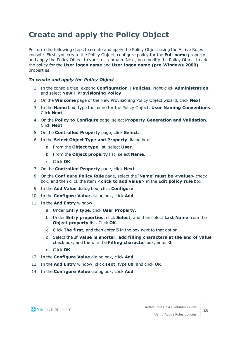## <span id="page-25-0"></span>**Create and apply the Policy Object**

Perform the following steps to create and apply the Policy Object using the Active Roles console. First, you create the Policy Object, configure policy for the **Full name** property, and apply the Policy Object to your test domain. Next, you modify the Policy Object to add the policy for the **User logon name** and **User logon name (pre-Windows 2000)** properties.

#### *To create and apply the Policy Object*

- 1. In the console tree, expand **Configuration | Policies**, right-click **Administration**, and select **New | Provisioning Policy**.
- 2. On the **Welcome** page of the New Provisioning Policy Object wizard, click **Next**.
- 3. In the **Name** box, type the name for the Policy Object: **User Naming Conventions**. Click **Next**.
- 4. On the **Policy to Configure** page, select **Property Generation and Validation**. Click **Next**.
- 5. On the **Controlled Property** page, click **Select**.
- 6. In the **Select Object Type and Property** dialog box:
	- a. From the **Object type** list, select **User**.
	- b. From the **Object property** list, select **Name**.
	- c. Click **OK**.
- 7. On the **Controlled Property** page, click **Next**.
- 8. On the **Configure Policy Rule** page, select the **'Name' must be <value>** check box, and then click the item **<click to add value>** in the **Edit policy rule** box.
- 9. In the **Add Value** dialog box, click **Configure**.
- 10. In the **Configure Value** dialog box, click **Add**.
- 11. In the **Add Entry** window:
	- a. Under **Entry type**, click **User Property**.
	- b. Under **Entry properties**, click **Select**, and then select **Last Name** from the **Object property** list. Click **OK**.
	- c. Click **The first**, and then enter **5** in the box next to that option.
	- d. Select the **If value is shorter, add filling characters at the end of value** check box, and then, in the **Filling character** box, enter **0**.
	- e. Click **OK**.
- 12. In the **Configure Value** dialog box, click **Add**.
- 13. In the **Add Entry** window, click **Text**, type **00**, and click **OK**.
- 14. In the **Configure Value** dialog box, click **Add**.

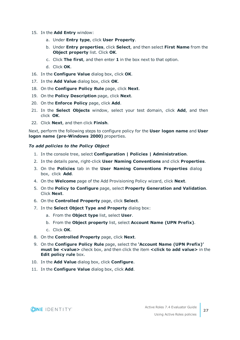- 15. In the **Add Entry** window:
	- a. Under **Entry type**, click **User Property**.
	- b. Under **Entry properties**, click **Select**, and then select **First Name** from the **Object property** list. Click **OK**.
	- c. Click **The first**, and then enter **1** in the box next to that option.
	- d. Click **OK**.
- 16. In the **Configure Value** dialog box, click **OK**.
- 17. In the **Add Value** dialog box, click **OK**.
- 18. On the **Configure Policy Rule** page, click **Next**.
- 19. On the **Policy Description** page, click **Next**.
- 20. On the **Enforce Policy** page, click **Add**.
- 21. In the **Select Objects** window, select your test domain, click **Add**, and then click **OK**.
- 22. Click **Next**, and then click **Finish**.

Next, perform the following steps to configure policy for the **User logon name** and **User logon name (pre-Windows 2000)** properties.

#### *To add policies to the Policy Object*

- 1. In the console tree, select **Configuration | Policies | Administration**.
- 2. In the details pane, right-click **User Naming Conventions** and click **Properties**.
- 3. On the **Policies** tab in the **User Naming Conventions Properties** dialog box, click **Add**.
- 4. On the **Welcome** page of the Add Provisioning Policy wizard, click **Next**.
- 5. On the **Policy to Configure** page, select **Property Generation and Validation**. Click **Next**.
- 6. On the **Controlled Property** page, click **Select**.
- 7. In the **Select Object Type and Property** dialog box:
	- a. From the **Object type** list, select **User**.
	- b. From the **Object property** list, select **Account Name (UPN Prefix)**.
	- c. Click **OK**.
- 8. On the **Controlled Property** page, click **Next**.
- 9. On the **Configure Policy Rule** page, select the **'Account Name (UPN Prefix)' must be <value>** check box, and then click the item **<click to add value>** in the **Edit policy rule** box.
- 10. In the **Add Value** dialog box, click **Configure**.
- 11. In the **Configure Value** dialog box, click **Add**.

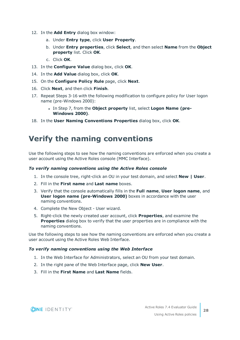- 12. In the **Add Entry** dialog box window:
	- a. Under **Entry type**, click **User Property**.
	- b. Under **Entry properties**, click **Select**, and then select **Name** from the **Object property** list. Click **OK**.
	- c. Click **OK**.
- 13. In the **Configure Value** dialog box, click **OK**.
- 14. In the **Add Value** dialog box, click **OK**.
- 15. On the **Configure Policy Rule** page, click **Next**.
- 16. Click **Next**, and then click **Finish**.
- 17. Repeat Steps 3-16 with the following modification to configure policy for User logon name (pre-Windows 2000):
	- <sup>l</sup> In Step 7, from the **Object property** list, select **Logon Name (pre-Windows 2000)**.
- <span id="page-27-0"></span>18. In the **User Naming Conventions Properties** dialog box, click **OK**.

### **Verify the naming conventions**

Use the following steps to see how the naming conventions are enforced when you create a user account using the Active Roles console (MMC Interface).

#### *To verify naming conventions using the Active Roles console*

- 1. In the console tree, right-click an OU in your test domain, and select **New | User**.
- 2. Fill in the **First name** and **Last name** boxes.
- 3. Verify that the console automatically fills in the **Full name**, **User logon name**, and **User logon name (pre-Windows 2000)** boxes in accordance with the user naming conventions.
- 4. Complete the New Object User wizard.
- 5. Right-click the newly created user account, click **Properties**, and examine the **Properties** dialog box to verify that the user properties are in compliance with the naming conventions.

Use the following steps to see how the naming conventions are enforced when you create a user account using the Active Roles Web Interface.

#### *To verify naming conventions using the Web Interface*

- 1. In the Web Interface for Administrators, select an OU from your test domain.
- 2. In the right pane of the Web Interface page, click **New User**.
- 3. Fill in the **First Name** and **Last Name** fields.

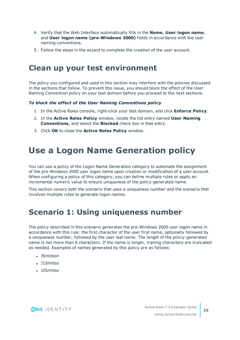- 4. Verify that the Web Interface automatically fills in the **Name**, **User logon name**, and **User logon name (pre-Windows 2000)** fields in accordance with the user naming conventions.
- <span id="page-28-0"></span>5. Follow the steps in the wizard to complete the creation of the user account.

### **Clean up your test environment**

The policy you configured and used in this section may interfere with the policies discussed in the sections that follow. To prevent this issue, you should block the effect of the User Naming Convention policy on your test domain before you proceed to the next sections.

#### *To block the effect of the User Naming Conventions policy*

- 1. In the Active Roles console, right-click your test domain, and click **Enforce Policy**.
- 2. In the **Active Roles Policy** window, locate the list entry named **User Naming Conventions**, and select the **Blocked** check box in that entry.
- <span id="page-28-1"></span>3. Click **OK** to close the **Active Roles Policy** window.

## **Use a Logon Name Generation policy**

You can use a policy of the Logon Name Generation category to automate the assignment of the pre-Windows 2000 user logon name upon creation or modification of a user account. When configuring a policy of this category, you can define multiple rules or apply an incremental numeric value to ensure uniqueness of the policy-generated name.

This section covers both the scenario that uses a uniqueness number and the scenario that involves multiple rules to generate logon names.

### <span id="page-28-2"></span>**Scenario 1: Using uniqueness number**

The policy described in this scenario generates the pre-Windows 2000 user logon name in accordance with this rule: the first character of the user first name, optionally followed by a uniqueness number, followed by the user last name. The length of the policy-generated name is not more than 8 characters. If the name is longer, trailing characters are truncated as needed. Examples of names generated by this policy are as follows:

- JSmitson
- J1Smitso
- J2Smitso

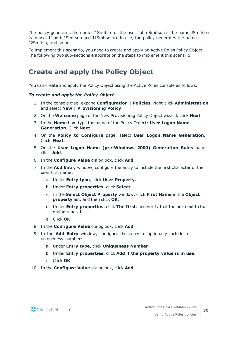The policy generates the name J1Smitso for the user John Smitson if the name JSmitson is in use. If both JSmitson and J1Smitso are in use, the policy generates the name J2Smitso, and so on.

To implement this scenario, you need to create and apply an Active Roles Policy Object. The following two sub-sections elaborate on the steps to implement this scenario.

### <span id="page-29-0"></span>**Create and apply the Policy Object**

You can create and apply the Policy Object using the Active Roles console as follows.

#### *To create and apply the Policy Object*

- 1. In the console tree, expand **Configuration | Policies**, right-click **Administration**, and select **New | Provisioning Policy**.
- 2. On the **Welcome** page of the New Provisioning Policy Object wizard, click **Next**.
- 3. In the **Name** box, type the name of the Policy Object: **User Logon Name Generation**. Click **Next**.
- 4. On the **Policy to Configure** page, select **User Logon Name Generation**. Click **Next**.
- 5. On the **User Logon Name (pre-Windows 2000) Generation Rules** page, click **Add**.
- 6. In the **Configure Value** dialog box, click **Add**.
- 7. In the **Add Entry** window, configure the entry to include the first character of the user first name:
	- a. Under **Entry type**, click **User Property**.
	- b. Under **Entry properties**, click **Select**.
	- c. In the **Select Object Property** window, click **First Name** in the **Object property** list, and then click **OK**.
	- d. Under **Entry properties**, click **The first**, and verify that the box next to that option reads **1**.
	- e. Click **OK**.
- 8. In the **Configure Value** dialog box, click **Add**.
- 9. In the **Add Entry** window, configure the entry to optionally include a uniqueness number:
	- a. Under **Entry type**, click **Uniqueness Number**.
	- b. Under **Entry properties**, click **Add if the property value is in use**.
	- c. Click **OK**.
- 10. In the **Configure Value** dialog box, click **Add**.

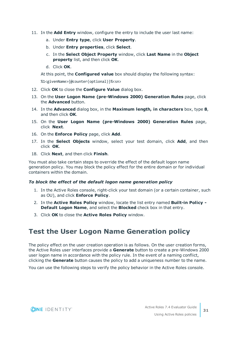- 11. In the **Add Entry** window, configure the entry to include the user last name:
	- a. Under **Entry type**, click **User Property**.
	- b. Under **Entry properties**, click **Select**.
	- c. In the **Select Object Property** window, click **Last Name** in the **Object property** list, and then click **OK**.
	- d. Click **OK**.

At this point, the **Configured value** box should display the following syntax:

%1<givenName>{@counter(optional)}%<sn>

- 12. Click **OK** to close the **Configure Value** dialog box.
- 13. On the **User Logon Name (pre-Windows 2000) Generation Rules** page, click the **Advanced** button.
- 14. In the **Advanced** dialog box, in the **Maximum length, in characters** box, type **8**, and then click **OK**.
- 15. On the **User Logon Name (pre-Windows 2000) Generation Rules** page, click **Next**.
- 16. On the **Enforce Policy** page, click **Add**.
- 17. In the **Select Objects** window, select your test domain, click **Add**, and then click **OK**.
- 18. Click **Next**, and then click **Finish**.

You must also take certain steps to override the effect of the default logon name generation policy. You may block the policy effect for the entire domain or for individual containers within the domain.

#### *To block the effect of the default logon name generation policy*

- 1. In the Active Roles console, right-click your test domain (or a certain container, such as OU), and click **Enforce Policy**.
- 2. In the **Active Roles Policy** window, locate the list entry named **Built-in Policy - Default Logon Name**, and select the **Blocked** check box in that entry.
- <span id="page-30-0"></span>3. Click **OK** to close the **Active Roles Policy** window.

### **Test the User Logon Name Generation policy**

The policy effect on the user creation operation is as follows. On the user creation forms, the Active Roles user interfaces provide a **Generate** button to create a pre-Windows 2000 user logon name in accordance with the policy rule. In the event of a naming conflict, clicking the **Generate** button causes the policy to add a uniqueness number to the name.

You can use the following steps to verify the policy behavior in the Active Roles console.

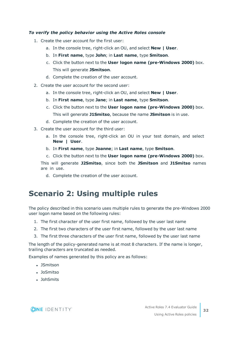#### *To verify the policy behavior using the Active Roles console*

- 1. Create the user account for the first user:
	- a. In the console tree, right-click an OU, and select **New | User**.
	- b. In **First name**, type **John**; in **Last name**, type **Smitson**.
	- c. Click the button next to the **User logon name (pre-Windows 2000)** box. This will generate **JSmitson**.
	- d. Complete the creation of the user account.
- 2. Create the user account for the second user:
	- a. In the console tree, right-click an OU, and select **New | User**.
	- b. In **First name**, type **Jane**; in **Last name**, type **Smitson**.
	- c. Click the button next to the **User logon name (pre-Windows 2000)** box. This will generate **J1Smitso**, because the name **JSmitson** is in use.
	- d. Complete the creation of the user account.
- 3. Create the user account for the third user:
	- a. In the console tree, right-click an OU in your test domain, and select **New | User**.
	- b. In **First name**, type **Joanne**; in **Last name**, type **Smitson**.
	- c. Click the button next to the **User logon name (pre-Windows 2000)** box.

This will generate **J2Smitso**, since both the **JSmitson** and **J1Smitso** names are in use.

d. Complete the creation of the user account.

### <span id="page-31-0"></span>**Scenario 2: Using multiple rules**

The policy described in this scenario uses multiple rules to generate the pre-Windows 2000 user logon name based on the following rules:

- 1. The first character of the user first name, followed by the user last name
- 2. The first two characters of the user first name, followed by the user last name
- 3. The first three characters of the user first name, followed by the user last name

The length of the policy-generated name is at most 8 characters. If the name is longer, trailing characters are truncated as needed.

Examples of names generated by this policy are as follows:

- JSmitson
- JoSmitso
- JohSmits

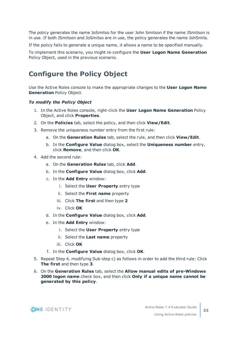The policy generates the name JoSmitso for the user John Smitson if the name JSmitson is in use. If both JSmitson and JoSmitso are in use, the policy generates the name JohSmits.

If the policy fails to generate a unique name, it allows a name to be specified manually.

To implement this scenario, you might re-configure the **User Logon Name Generation** Policy Object, used in the previous scenario.

### <span id="page-32-0"></span>**Configure the Policy Object**

Use the Active Roles console to make the appropriate changes to the **User Logon Name Generation** Policy Object.

#### *To modify the Policy Object*

- 1. In the Active Roles console, right-click the **User Logon Name Generation** Policy Object, and click **Properties**.
- 2. On the **Policies** tab, select the policy, and then click **View/Edit**.
- 3. Remove the uniqueness number entry from the first rule:
	- a. On the **Generation Rules** tab, select the rule, and then click **View/Edit**.
	- b. In the **Configure Value** dialog box, select the **Uniqueness number** entry, click **Remove**, and then click **OK**.
- 4. Add the second rule:
	- a. On the **Generation Rules** tab, click **Add**.
	- b. In the **Configure Value** dialog box, click **Add**.
	- c. In the **Add Entry** window:
		- i. Select the **User Property** entry type
		- ii. Select the **First name** property
		- iii. Click **The first** and then type **2**
		- iv. Click **OK**
	- d. In the **Configure Value** dialog box, click **Add**.
	- e. In the **Add Entry** window:
		- i. Select the **User Property** entry type
		- ii. Select the **Last name** property
		- iii. Click **OK**
	- f. In the **Configure Value** dialog box, click **OK**.
- 5. Repeat Step 4, modifying Sub-step c) as follows in order to add the third rule: Click **The first** and then type **3**.
- 6. On the **Generation Rules** tab, select the **Allow manual edits of pre-Windows 2000 logon name** check box, and then click **Only if a unique name cannot be generated by this policy**.

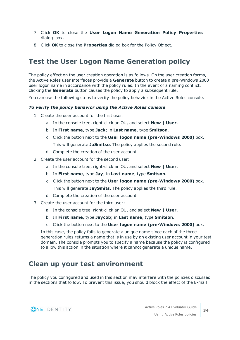- 7. Click **OK** to close the **User Logon Name Generation Policy Properties** dialog box.
- <span id="page-33-0"></span>8. Click **OK** to close the **Properties** dialog box for the Policy Object.

### **Test the User Logon Name Generation policy**

The policy effect on the user creation operation is as follows. On the user creation forms, the Active Roles user interfaces provide a **Generate** button to create a pre-Windows 2000 user logon name in accordance with the policy rules. In the event of a naming conflict, clicking the **Generate** button causes the policy to apply a subsequent rule.

You can use the following steps to verify the policy behavior in the Active Roles console.

#### *To verify the policy behavior using the Active Roles console*

- 1. Create the user account for the first user:
	- a. In the console tree, right-click an OU, and select **New | User**.
	- b. In **First name**, type **Jack**; in **Last name**, type **Smitson**.
	- c. Click the button next to the **User logon name (pre-Windows 2000)** box. This will generate **JaSmitso**. The policy applies the second rule.
	- d. Complete the creation of the user account.
- 2. Create the user account for the second user:
	- a. In the console tree, right-click an OU, and select **New | User**.
	- b. In **First name**, type **Jay**; in **Last name**, type **Smitson**.
	- c. Click the button next to the **User logon name (pre-Windows 2000)** box. This will generate **JaySmits**. The policy applies the third rule.
	- d. Complete the creation of the user account.
- 3. Create the user account for the third user:
	- a. In the console tree, right-click an OU, and select **New | User**.
	- b. In **First name**, type **Jaycob**; in **Last name**, type **Smitson**.
	- c. Click the button next to the **User logon name (pre-Windows 2000)** box.

In this case, the policy fails to generate a unique name since each of the three generation rules returns a name that is in use by an existing user account in your test domain. The console prompts you to specify a name because the policy is configured to allow this action in the situation where it cannot generate a unique name.

### <span id="page-33-1"></span>**Clean up your test environment**

The policy you configured and used in this section may interfere with the policies discussed in the sections that follow. To prevent this issue, you should block the effect of the E-mail

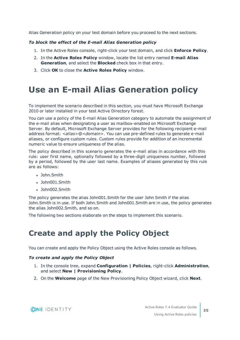Alias Generation policy on your test domain before you proceed to the next sections.

#### *To block the effect of the E-mail Alias Generation policy*

- 1. In the Active Roles console, right-click your test domain, and click **Enforce Policy**.
- 2. In the **Active Roles Policy** window, locate the list entry named **E-mail Alias Generation**, and select the **Blocked** check box in that entry.
- <span id="page-34-0"></span>3. Click **OK** to close the **Active Roles Policy** window.

## **Use an E-mail Alias Generation policy**

To implement the scenario described in this section, you must have Microsoft Exchange 2010 or later installed in your test Active Directory forest.

You can use a policy of the E-mail Alias Generation category to automate the assignment of the e-mail alias when designating a user as mailbox-enabled on Microsoft Exchange Server. By default, Microsoft Exchange Server provides for the following recipient e-mail address format: *<alias>*@*<domain>*. You can use pre-defined rules to generate e-mail aliases, or configure custom rules. Custom rules provide for addition of an incremental numeric value to ensure uniqueness of the alias.

The policy described in this scenario generates the e-mail alias in accordance with this rule: user first name, optionally followed by a three-digit uniqueness number, followed by a period, followed by the user last name. Examples of aliases generated by this rule are as follows:

- John.Smith
- John001.Smith
- $\cdot$  John002. Smith

The policy generates the alias John001.Smith for the user John Smith if the alias John.Smith is in use. If both John.Smith and John001.Smith are in use, the policy generates the alias John002.Smith, and so on.

<span id="page-34-1"></span>The following two sections elaborate on the steps to implement this scenario.

## **Create and apply the Policy Object**

You can create and apply the Policy Object using the Active Roles console as follows.

#### *To create and apply the Policy Object*

- 1. In the console tree, expand **Configuration | Policies**, right-click **Administration**, and select **New | Provisioning Policy**.
- 2. On the **Welcome** page of the New Provisioning Policy Object wizard, click **Next**.

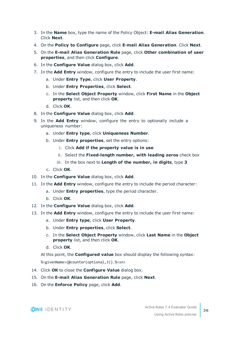- 3. In the **Name** box, type the name of the Policy Object: **E-mail Alias Generation**. Click **Next**.
- 4. On the **Policy to Configure** page, click **E-mail Alias Generation**. Click **Next**.
- 5. On the **E-mail Alias Generation Rule** page, click **Other combination of user properties**, and then click **Configure**.
- 6. In the **Configure Value** dialog box, click **Add**.
- 7. In the **Add Entry** window, configure the entry to include the user first name:
	- a. Under **Entry Type**, click **User Property**.
	- b. Under **Entry Properties**, click **Select**.
	- c. In the **Select Object Property** window, click **First Name** in the **Object property** list, and then click **OK**.
	- d. Click **OK**.
- 8. In the **Configure Value** dialog box, click **Add**.
- 9. In the **Add Entry** window, configure the entry to optionally include a uniqueness number:
	- a. Under **Entry type**, click **Uniqueness Number**.
	- b. Under **Entry properties**, set the entry options:
		- i. Click **Add if the property value is in use**
		- ii. Select the **Fixed-length number, with leading zeros** check box
		- iii. In the box next to **Length of the number, in digits**, type **3**
	- c. Click **OK**.
- 10. In the **Configure Value** dialog box, click **Add**.
- 11. In the **Add Entry** window, configure the entry to include the period character:
	- a. Under **Entry properties**, type the period character.
	- b. Click **OK**.
- 12. In the **Configure Value** dialog box, click **Add**.
- 13. In the **Add Entry** window, configure the entry to include the user first name:
	- a. Under **Entry type**, click **User Property**.
	- b. Under **Entry properties**, click **Select**.
	- c. In the **Select Object Property** window, click **Last Name** in the **Object property** list, and then click **OK**.
	- d. Click **OK**.

At this point, the **Configured value** box should display the following syntax: %<givenName>{@counter(optional,3)}.%<sn>

- 14. Click **OK** to close the **Configure Value** dialog box.
- 15. On the **E-mail Alias Generation Rule** page, click **Next**.
- 16. On the **Enforce Policy** page, click **Add**.



**36**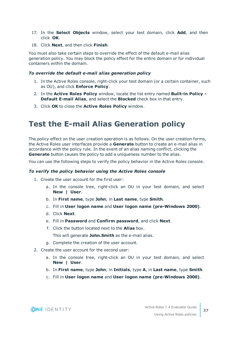- 17. In the **Select Objects** window, select your test domain, click **Add**, and then click **OK**.
- 18. Click **Next**, and then click **Finish**.

You must also take certain steps to override the effect of the default e-mail alias generation policy. You may block the policy effect for the entire domain or for individual containers within the domain.

#### *To override the default e-mail alias generation policy*

- 1. In the Active Roles console, right-click your test domain (or a certain container, such as OU), and click **Enforce Policy**.
- 2. In the **Active Roles Policy** window, locate the list entry named **Built-in Policy - Default E-mail Alias**, and select the **Blocked** check box in that entry.
- <span id="page-36-0"></span>3. Click **OK** to close the **Active Roles Policy** window.

### **Test the E-mail Alias Generation policy**

The policy effect on the user creation operation is as follows. On the user creation forms, the Active Roles user interfaces provide a **Generate** button to create an e-mail alias in accordance with the policy rule. In the event of an alias naming conflict, clicking the **Generate** button causes the policy to add a uniqueness number to the alias.

You can use the following steps to verify the policy behavior in the Active Roles console.

#### *To verify the policy behavior using the Active Roles console*

- 1. Create the user account for the first user:
	- a. In the console tree, right-click an OU in your test domain, and select **New | User**.
	- b. In **First name**, type **John**; in **Last name**, type **Smith**.
	- c. Fill in **User logon name** and **User logon name (pre-Windows 2000)**.
	- d. Click **Next**.
	- e. Fill in **Password** and **Confirm password**, and click **Next**.
	- f. Click the button located next to the **Alias** box.

This will generate **John.Smith** as the e-mail alias.

- g. Complete the creation of the user account.
- 2. Create the user account for the second user:
	- a. In the console tree, right-click an OU in your test domain, and select **New | User**.
	- b. In **First name**, type **John**; in **Initials**, type **A**, in **Last name**, type **Smith**.
	- c. Fill in **User logon name** and **User logon name (pre-Windows 2000)**.

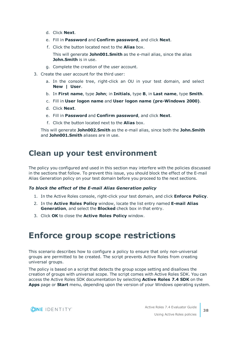- d. Click **Next**.
- e. Fill in **Password** and **Confirm password**, and click **Next**.
- f. Click the button located next to the **Alias** box.
	- This will generate **John001.Smith** as the e-mail alias, since the alias **John.Smith** is in use.
- g. Complete the creation of the user account.
- 3. Create the user account for the third user:
	- a. In the console tree, right-click an OU in your test domain, and select **New | User**.
	- b. In **First name**, type **John**; in **Initials**, type **B**, in **Last name**, type **Smith**.
	- c. Fill in **User logon name** and **User logon name (pre-Windows 2000)**.
	- d. Click **Next**.
	- e. Fill in **Password** and **Confirm password**, and click **Next**.
	- f. Click the button located next to the **Alias** box.

This will generate **John002.Smith** as the e-mail alias, since both the **John.Smith** and **John001.Smith** aliases are in use.

### <span id="page-37-0"></span>**Clean up your test environment**

The policy you configured and used in this section may interfere with the policies discussed in the sections that follow. To prevent this issue, you should block the effect of the E-mail Alias Generation policy on your test domain before you proceed to the next sections.

#### *To block the effect of the E-mail Alias Generation policy*

- 1. In the Active Roles console, right-click your test domain, and click **Enforce Policy**.
- 2. In the **Active Roles Policy** window, locate the list entry named **E-mail Alias Generation**, and select the **Blocked** check box in that entry.
- <span id="page-37-1"></span>3. Click **OK** to close the **Active Roles Policy** window.

## **Enforce group scope restrictions**

This scenario describes how to configure a policy to ensure that only non-universal groups are permitted to be created. The script prevents Active Roles from creating universal groups.

The policy is based on a script that detects the group scope setting and disallows the creation of groups with universal scope. The script comes with Active Roles SDK. You can access the Active Roles SDK documentation by selecting **Active Roles 7.4 SDK** on the **Apps** page or **Start** menu, depending upon the version of your Windows operating system.

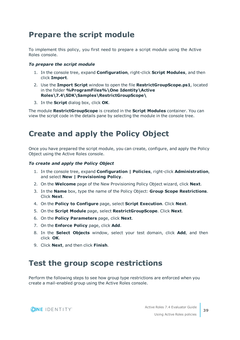### <span id="page-38-0"></span>**Prepare the script module**

To implement this policy, you first need to prepare a script module using the Active Roles console.

#### *To prepare the script module*

- 1. In the console tree, expand **Configuration**, right-click **Script Modules**, and then click **Import**.
- 2. Use the **Import Script** window to open the file **RestrictGroupScope.ps1**, located in the folder **%ProgramFiles%\One Identity\Active Roles\7.4\SDK\Samples\RestrictGroupScope\**
- 3. In the **Script** dialog box, click **OK**.

The module **RestrictGroupScope** is created in the **Script Modules** container. You can view the script code in the details pane by selecting the module in the console tree.

### <span id="page-38-1"></span>**Create and apply the Policy Object**

Once you have prepared the script module, you can create, configure, and apply the Policy Object using the Active Roles console.

#### *To create and apply the Policy Object*

- 1. In the console tree, expand **Configuration | Policies**, right-click **Administration**, and select **New | Provisioning Policy**.
- 2. On the **Welcome** page of the New Provisioning Policy Object wizard, click **Next**.
- 3. In the **Name** box, type the name of the Policy Object: **Group Scope Restrictions**. Click **Next**.
- 4. On the **Policy to Configure** page, select **Script Execution**. Click **Next**.
- 5. On the **Script Module** page, select **RestrictGroupScope**. Click **Next**.
- 6. On the **Policy Parameters** page, click **Next**.
- 7. On the **Enforce Policy** page, click **Add**.
- 8. In the **Select Objects** window, select your test domain, click **Add**, and then click **OK**.
- <span id="page-38-2"></span>9. Click **Next**, and then click **Finish**.

### **Test the group scope restrictions**

Perform the following steps to see how group type restrictions are enforced when you create a mail-enabled group using the Active Roles console.

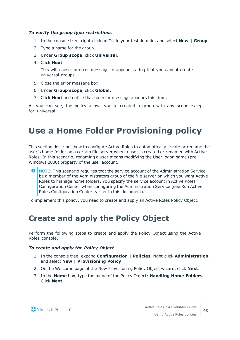#### *To verify the group type restrictions*

- 1. In the console tree, right-click an OU in your test domain, and select **New | Group**.
- 2. Type a name for the group.
- 3. Under **Group scope**, click **Universal**.
- 4. Click **Next**.

This will cause an error message to appear stating that you cannot create universal groups.

- 5. Close the error message box.
- 6. Under **Group scope**, click **Global**.
- 7. Click **Next** and notice that no error message appears this time.

As you can see, the policy allows you to created a group with any scope except for universal.

## <span id="page-39-0"></span>**Use a Home Folder Provisioning policy**

This section describes how to configure Active Roles to automatically create or rename the user's home folder on a certain file server when a user is created or renamed with Active Roles. In this scenario, renaming a user means modifying the User logon name (pre-Windows 2000) property of the user account.

Œ NOTE: This scenario requires that the service account of the Administration Service be a member of the Administrators group of the file server on which you want Active Roles to manage home folders. You specify the service account in Active Roles Configuration Center when configuring the Administration Service (see Run Active Roles Configuration Center earlier in this document).

<span id="page-39-1"></span>To implement this policy, you need to create and apply an Active Roles Policy Object.

### **Create and apply the Policy Object**

Perform the following steps to create and apply the Policy Object using the Active Roles console.

#### *To create and apply the Policy Object*

- 1. In the console tree, expand **Configuration | Policies**, right-click **Administration**, and select **New | Provisioning Policy**.
- 2. On the Welcome page of the New Provisioning Policy Object wizard, click **Next**.
- 3. In the **Name** box, type the name of the Policy Object: **Handling Home Folders**. Click **Next**.

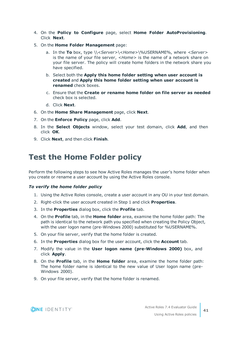- 4. On the **Policy to Configure** page, select **Home Folder AutoProvisioning**. Click **Next**.
- 5. On the **Home Folder Management** page:
	- a. In the **To** box, type \\*<Server>*\*<Home>*\%USERNAME%, where *<Server>* is the name of your file server, *<Home>* is the name of a network share on your file server. The policy will create home folders in the network share you have specified.
	- b. Select both the **Apply this home folder setting when user account is created** and **Apply this home folder setting when user account is renamed** check boxes.
	- c. Ensure that the **Create or rename home folder on file server as needed** check box is selected.
	- d. Click **Next**.
- 6. On the **Home Share Management** page, click **Next**.
- 7. On the **Enforce Policy** page, click **Add**.
- 8. In the **Select Objects** window, select your test domain, click **Add**, and then click **OK**.
- <span id="page-40-0"></span>9. Click **Next**, and then click **Finish**.

### **Test the Home Folder policy**

Perform the following steps to see how Active Roles manages the user's home folder when you create or rename a user account by using the Active Roles console.

#### *To verify the home folder policy*

- 1. Using the Active Roles console, create a user account in any OU in your test domain.
- 2. Right-click the user account created in Step 1 and click **Properties**.
- 3. In the **Properties** dialog box, click the **Profile** tab.
- 4. On the **Profile** tab, in the **Home folder** area, examine the home folder path: The path is identical to the network path you specified when creating the Policy Object, with the user logon name (pre-Windows 2000) substituted for %USERNAME%.
- 5. On your file server, verify that the home folder is created.
- 6. In the **Properties** dialog box for the user account, click the **Account** tab.
- 7. Modify the value in the **User logon name (pre-Windows 2000)** box, and click **Apply**.
- 8. On the **Profile** tab, in the **Home folder** area, examine the home folder path: The home folder name is identical to the new value of User logon name (pre-Windows 2000).
- 9. On your file server, verify that the home folder is renamed.

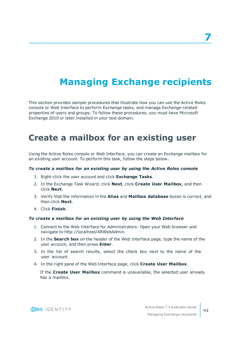# <span id="page-41-0"></span>**Managing Exchange recipients**

This section provides sample procedures that illustrate how you can use the Active Roles console or Web Interface to perform Exchange tasks, and manage Exchange-related properties of users and groups. To follow these procedures, you must have Microsoft Exchange 2010 or later installed in your test domain.

### <span id="page-41-1"></span>**Create a mailbox for an existing user**

Using the Active Roles console or Web Interface, you can create an Exchange mailbox for an existing user account. To perform this task, follow the steps below.

#### *To create a mailbox for an existing user by using the Active Roles console*

- 1. Right-click the user account and click **Exchange Tasks**.
- 2. In the Exchange Task Wizard, click **Next**, click **Create User Mailbox**, and then click **Next**.
- 3. Verify that the information in the **Alias** and **Mailbox database** boxes is correct, and then click **Next**.
- 4. Click **Finish**.

#### *To create a mailbox for an existing user by using the Web Interface*

- 1. Connect to the Web Interface for Administrators: Open your Web browser and navigate to http://localhost/ARWebAdmin.
- 2. In the **Search box** on the header of the Web Interface page, type the name of the user account, and then press **Enter**.
- 3. In the list of search results, select the check box next to the name of the user account.
- 4. In the right pane of the Web Interface page, click **Create User Mailbox**.

If the **Create User Mailbox** command is unavailable, the selected user already has a mailbox.

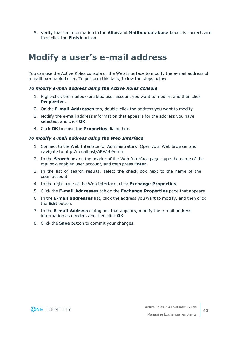5. Verify that the information in the **Alias** and **Mailbox database** boxes is correct, and then click the **Finish** button.

## <span id="page-42-0"></span>**Modify a user's e-mail address**

You can use the Active Roles console or the Web Interface to modify the e-mail address of a mailbox-enabled user. To perform this task, follow the steps below.

#### *To modify e-mail address using the Active Roles console*

- 1. Right-click the mailbox-enabled user account you want to modify, and then click **Properties**.
- 2. On the **E-mail Addresses** tab, double-click the address you want to modify.
- 3. Modify the e-mail address information that appears for the address you have selected, and click **OK**.
- 4. Click **OK** to close the **Properties** dialog box.

#### *To modify e-mail address using the Web Interface*

- 1. Connect to the Web Interface for Administrators: Open your Web browser and navigate to http://localhost/ARWebAdmin.
- 2. In the **Search** box on the header of the Web Interface page, type the name of the mailbox-enabled user account, and then press **Enter**.
- 3. In the list of search results, select the check box next to the name of the user account.
- 4. In the right pane of the Web Interface, click **Exchange Properties**.
- 5. Click the **E-mail Addresses** tab on the **Exchange Properties** page that appears.
- 6. In the **E-mail addresses** list, click the address you want to modify, and then click the **Edit** button.
- 7. In the **E-mail Address** dialog box that appears, modify the e-mail address information as needed, and then click **OK**.
- 8. Click the **Save** button to commit your changes.

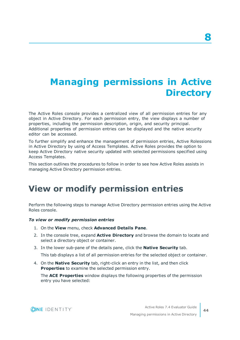# <span id="page-43-0"></span>**Managing permissions in Active Directory**

The Active Roles console provides a centralized view of all permission entries for any object in Active Directory. For each permission entry, the view displays a number of properties, including the permission description, origin, and security principal. Additional properties of permission entries can be displayed and the native security editor can be accessed.

To further simplify and enhance the management of permission entries, Active Rolessions in Active Directory by using of Access Templates. Active Roles provides the option to keep Active Directory native security updated with selected permissions specified using Access Templates.

This section outlines the procedures to follow in order to see how Active Roles assists in managing Active Directory permission entries.

## <span id="page-43-1"></span>**View or modify permission entries**

Perform the following steps to manage Active Directory permission entries using the Active Roles console.

#### *To view or modify permission entries*

- 1. On the **View** menu, check **Advanced Details Pane**.
- 2. In the console tree, expand **Active Directory** and browse the domain to locate and select a directory object or container.
- 3. In the lower sub-pane of the details pane, click the **Native Security** tab.

This tab displays a list of all permission entries for the selected object or container.

4. On the **Native Security** tab, right-click an entry in the list, and then click **Properties** to examine the selected permission entry.

The **ACE Properties** window displays the following properties of the permission entry you have selected:

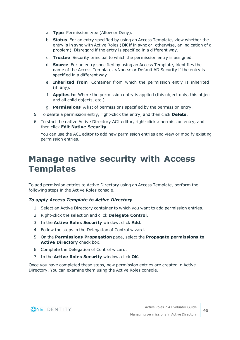- a. **Type** Permission type (Allow or Deny).
- b. **Status** For an entry specified by using an Access Template, view whether the entry is in sync with Active Roles (**OK** if in sync or, otherwise, an indication of a problem). Disregard if the entry is specified in a different way.
- c. **Trustee** Security principal to which the permission entry is assigned.
- d. **Source** For an entry specified by using an Access Template, identifies the name of the Access Template. <None> or Default AD Security if the entry is specified in a different way.
- e. **Inherited from** Container from which the permission entry is inherited (if any).
- f. **Applies to** Where the permission entry is applied (this object only, this object and all child objects, etc.).
- g. **Permissions** A list of permissions specified by the permission entry.
- 5. To delete a permission entry, right-click the entry, and then click **Delete**.
- 6. To start the native Active Directory ACL editor, right-click a permission entry, and then click **Edit Native Security**.

You can use the ACL editor to add new permission entries and view or modify existing permission entries.

## <span id="page-44-0"></span>**Manage native security with Access Templates**

To add permission entries to Active Directory using an Access Template, perform the following steps in the Active Roles console.

#### *To apply Access Template to Active Directory*

- 1. Select an Active Directory container to which you want to add permission entries.
- 2. Right-click the selection and click **Delegate Control**.
- 3. In the **Active Roles Security** window, click **Add**.
- 4. Follow the steps in the Delegation of Control wizard.
- 5. On the **Permissions Propagation** page, select the **Propagate permissions to Active Directory** check box.
- 6. Complete the Delegation of Control wizard.
- 7. In the **Active Roles Security** window, click **OK**.

Once you have completed these steps, new permission entries are created in Active Directory. You can examine them using the Active Roles console.

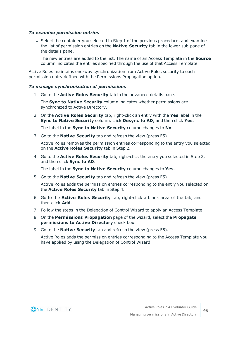#### *To examine permission entries*

 $\bullet$  Select the container you selected in Step 1 of the previous procedure, and examine the list of permission entries on the **Native Security** tab in the lower sub-pane of the details pane.

The new entries are added to the list. The name of an Access Template in the **Source** column indicates the entries specified through the use of that Access Template.

Active Roles maintains one-way synchronization from Active Roles security to each permission entry defined with the Permissions Propagation option.

#### *To manage synchronization of permissions*

1. Go to the **Active Roles Security** tab in the advanced details pane.

The **Sync to Native Security** column indicates whether permissions are synchronized to Active Directory.

2. On the **Active Roles Security** tab, right-click an entry with the **Yes** label in the **Sync to Native Security** column, click **Desync to AD**, and then click **Yes**.

The label in the **Sync to Native Security** column changes to **No**.

3. Go to the **Native Security** tab and refresh the view (press F5).

Active Roles removes the permission entries corresponding to the entry you selected on the **Active Roles Security** tab in Step 2.

4. Go to the **Active Roles Security** tab, right-click the entry you selected in Step 2, and then click **Sync to AD**.

The label in the **Sync to Native Security** column changes to **Yes**.

5. Go to the **Native Security** tab and refresh the view (press F5).

Active Roles adds the permission entries corresponding to the entry you selected on the **Active Roles Security** tab in Step 4.

- 6. Go to the **Active Roles Security** tab, right-click a blank area of the tab, and then click **Add**.
- 7. Follow the steps in the Delegation of Control Wizard to apply an Access Template.
- 8. On the **Permissions Propagation** page of the wizard, select the **Propagate permissions to Active Directory** check box.
- 9. Go to the **Native Security** tab and refresh the view (press F5).

Active Roles adds the permission entries corresponding to the Access Template you have applied by using the Delegation of Control Wizard.

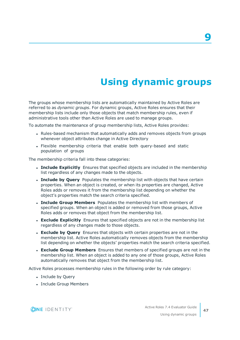# **Using dynamic groups**

<span id="page-46-0"></span>The groups whose membership lists are automatically maintained by Active Roles are referred to as *dynamic groups*. For dynamic groups, Active Roles ensures that their membership lists include only those objects that match membership rules, even if administrative tools other than Active Roles are used to manage groups.

To automate the maintenance of group membership lists, Active Roles provides:

- Rules-based mechanism that automatically adds and removes objects from groups whenever object attributes change in Active Directory
- Flexible membership criteria that enable both query-based and static population of groups

The membership criteria fall into these categories:

- **. Include Explicitly** Ensures that specified objects are included in the membership list regardless of any changes made to the objects.
- **. Include by Ouery** Populates the membership list with objects that have certain properties. When an object is created, or when its properties are changed, Active Roles adds or removes it from the membership list depending on whether the object's properties match the search criteria specified.
- <sup>l</sup> **Include Group Members** Populates the membership list with members of specified groups. When an object is added or removed from those groups, Active Roles adds or removes that object from the membership list.
- **Exclude Explicitly** Ensures that specified objects are not in the membership list regardless of any changes made to those objects.
- <sup>l</sup> **Exclude by Query** Ensures that objects with certain properties are not in the membership list. Active Roles automatically removes objects from the membership list depending on whether the objects' properties match the search criteria specified.
- <sup>l</sup> **Exclude Group Members** Ensures that members of specified groups are not in the membership list. When an object is added to any one of those groups, Active Roles automatically removes that object from the membership list.

Active Roles processes membership rules in the following order by rule category:

- Include by Query
- Include Group Members



**9**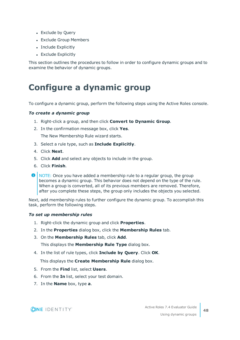- Exclude by Query
- Exclude Group Members
- Include Explicitly
- Exclude Explicitly

This section outlines the procedures to follow in order to configure dynamic groups and to examine the behavior of dynamic groups.

## <span id="page-47-0"></span>**Configure a dynamic group**

To configure a dynamic group, perform the following steps using the Active Roles console.

#### *To create a dynamic group*

- 1. Right-click a group, and then click **Convert to Dynamic Group**.
- 2. In the confirmation message box, click **Yes**.

The New Membership Rule wizard starts.

- 3. Select a rule type, such as **Include Explicitly**.
- 4. Click **Next**.
- 5. Click **Add** and select any objects to include in the group.
- 6. Click **Finish**.
- **O** NOTE: Once you have added a membership rule to a regular group, the group becomes a dynamic group. This behavior does not depend on the type of the rule. When a group is converted, all of its previous members are removed. Therefore, after you complete these steps, the group only includes the objects you selected.

Next, add membership rules to further configure the dynamic group. To accomplish this task, perform the following steps.

#### *To set up membership rules*

- 1. Right-click the dynamic group and click **Properties**.
- 2. In the **Properties** dialog box, click the **Membership Rules** tab.
- 3. On the **Membership Rules** tab, click **Add**.

This displays the **Membership Rule Type** dialog box.

4. In the list of rule types, click **Include by Query**. Click **OK**.

This displays the **Create Membership Rule** dialog box.

- 5. From the **Find** list, select **Users**.
- 6. From the **In** list, select your test domain.
- 7. In the **Name** box, type **a**.

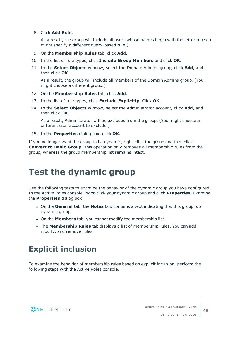8. Click **Add Rule**.

As a result, the group will include all users whose names begin with the letter **a**. (You might specify a different query-based rule.)

- 9. On the **Membership Rules** tab, click **Add**.
- 10. In the list of rule types, click **Include Group Members** and click **OK**.
- 11. In the **Select Objects** window, select the Domain Admins group, click **Add**, and then click **OK**.

As a result, the group will include all members of the Domain Admins group. (You might choose a different group.)

- 12. On the **Membership Rules** tab, click **Add**.
- 13. In the list of rule types, click **Exclude Explicitly**. Click **OK**.
- 14. In the **Select Objects** window, select the Administrator account, click **Add**, and then click **OK**.

As a result, Administrator will be excluded from the group. (You might choose a different user account to exclude.)

15. In the **Properties** dialog box, click **OK**.

If you no longer want the group to be dynamic, right-click the group and then click **Convert to Basic Group**. This operation only removes all membership rules from the group, whereas the group membership list remains intact.

## <span id="page-48-0"></span>**Test the dynamic group**

Use the following tests to examine the behavior of the dynamic group you have configured. In the Active Roles console, right-click your dynamic group and click **Properties**. Examine the **Properties** dialog box:

- <sup>l</sup> On the **General** tab, the **Notes** box contains a text indicating that this group is a dynamic group.
- **.** On the **Members** tab, you cannot modify the membership list.
- <sup>l</sup> The **Membership Rules** tab displays a list of membership rules. You can add, modify, and remove rules.

## <span id="page-48-1"></span>**Explicit inclusion**

To examine the behavior of membership rules based on explicit inclusion, perform the following steps with the Active Roles console.

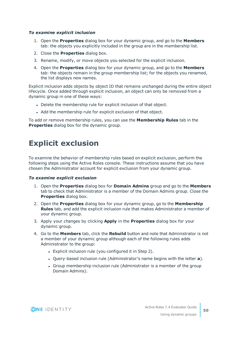#### *To examine explicit inclusion*

- 1. Open the **Properties** dialog box for your dynamic group, and go to the **Members** tab: the objects you explicitly included in the group are in the membership list.
- 2. Close the **Properties** dialog box.
- 3. Rename, modify, or move objects you selected for the explicit inclusion.
- 4. Open the **Properties** dialog box for your dynamic group, and go to the **Members** tab: the objects remain in the group membership list; for the objects you renamed, the list displays new names.

Explicit inclusion adds objects by object ID that remains unchanged during the entire object lifecycle. Once added through explicit inclusion, an object can only be removed from a dynamic group in one of these ways:

- Delete the membership rule for explicit inclusion of that object.
- Add the membership rule for explicit exclusion of that object.

To add or remove membership rules, you can use the **Membership Rules** tab in the **Properties** dialog box for the dynamic group.

### <span id="page-49-0"></span>**Explicit exclusion**

To examine the behavior of membership rules based on explicit exclusion, perform the following steps using the Active Roles console. These instructions assume that you have chosen the Administrator account for explicit exclusion from your dynamic group.

#### *To examine explicit exclusion*

- 1. Open the **Properties** dialog box for **Domain Admins** group and go to the **Members** tab to check that Administrator is a member of the Domain Admins group. Close the **Properties** dialog box.
- 2. Open the **Properties** dialog box for your dynamic group, go to the **Membership Rules** tab, and add the explicit inclusion rule that makes Administrator a member of your dynamic group.
- 3. Apply your changes by clicking **Apply** in the **Properties** dialog box for your dynamic group.
- 4. Go to the **Members** tab, click the **Rebuild** button and note that Administrator is not a member of your dynamic group although each of the following rules adds Administrator to the group:
	- Explicit inclusion rule (you configured it in Step 2).
	- **.** Ouery-based inclusion rule (Administrator's name begins with the letter **a**).
	- Group membership inclusion rule (Administrator is a member of the group Domain Admins).

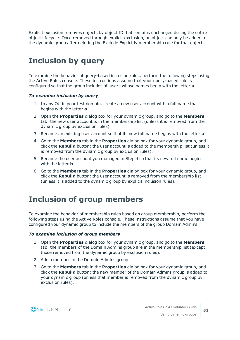Explicit exclusion removes objects by object ID that remains unchanged during the entire object lifecycle. Once removed through explicit exclusion, an object can only be added to the dynamic group after deleting the Exclude Explicitly membership rule for that object.

## <span id="page-50-0"></span>**Inclusion by query**

To examine the behavior of query-based inclusion rules, perform the following steps using the Active Roles console. These instructions assume that your query-based rule is configured so that the group includes all users whose names begin with the letter **a**.

#### *To examine inclusion by query*

- 1. In any OU in your test domain, create a new user account with a full name that begins with the letter **a**.
- 2. Open the **Properties** dialog box for your dynamic group, and go to the **Members** tab: the new user account is in the membership list (unless it is removed from the dynamic group by exclusion rules).
- 3. Rename an existing user account so that its new full name begins with the letter **a**.
- 4. Go to the **Members** tab in the **Properties** dialog box for your dynamic group, and click the **Rebuild** button: the user account is added to the membership list (unless it is removed from the dynamic group by exclusion rules).
- 5. Rename the user account you managed in Step 4 so that its new full name begins with the letter **b**.
- 6. Go to the **Members** tab in the **Properties** dialog box for your dynamic group, and click the **Rebuild** button: the user account is removed from the membership list (unless it is added to the dynamic group by explicit inclusion rules).

## <span id="page-50-1"></span>**Inclusion of group members**

To examine the behavior of membership rules based on group membership, perform the following steps using the Active Roles console. These instructions assume that you have configured your dynamic group to include the members of the group Domain Admins.

#### *To examine inclusion of group members*

- 1. Open the **Properties** dialog box for your dynamic group, and go to the **Members** tab: the members of the Domain Admins group are in the membership list (except those removed from the dynamic group by exclusion rules).
- 2. Add a member to the Domain Admins group.
- 3. Go to the **Members** tab in the **Properties** dialog box for your dynamic group, and click the **Rebuild** button: the new member of the Domain Admins group is added to your dynamic group (unless that member is removed from the dynamic group by exclusion rules).

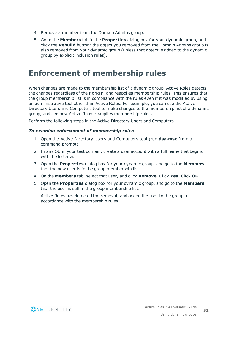- 4. Remove a member from the Domain Admins group.
- 5. Go to the **Members** tab in the **Properties** dialog box for your dynamic group, and click the **Rebuild** button: the object you removed from the Domain Admins group is also removed from your dynamic group (unless that object is added to the dynamic group by explicit inclusion rules).

### <span id="page-51-0"></span>**Enforcement of membership rules**

When changes are made to the membership list of a dynamic group, Active Roles detects the changes regardless of their origin, and reapplies membership rules. This ensures that the group membership list is in compliance with the rules even if it was modified by using an administrative tool other than Active Roles. For example, you can use the Active Directory Users and Computers tool to make changes to the membership list of a dynamic group, and see how Active Roles reapplies membership rules.

Perform the following steps in the Active Directory Users and Computers.

#### *To examine enforcement of membership rules*

- 1. Open the Active Directory Users and Computers tool (run **dsa.msc** from a command prompt).
- 2. In any OU in your test domain, create a user account with a full name that begins with the letter **a**.
- 3. Open the **Properties** dialog box for your dynamic group, and go to the **Members** tab: the new user is in the group membership list.
- 4. On the **Members** tab, select that user, and click **Remove**. Click **Yes**. Click **OK**.
- 5. Open the **Properties** dialog box for your dynamic group, and go to the **Members** tab: the user is still in the group membership list.

Active Roles has detected the removal, and added the user to the group in accordance with the membership rules.

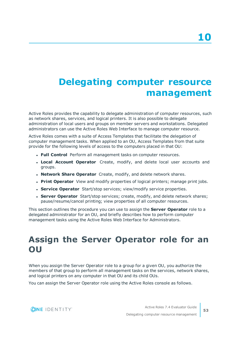# <span id="page-52-0"></span>**Delegating computer resource management**

Active Roles provides the capability to delegate administration of computer resources, such as network shares, services, and logical printers. It is also possible to delegate administration of local users and groups on member servers and workstations. Delegated administrators can use the Active Roles Web Interface to manage computer resource.

Active Roles comes with a suite of Access Templates that facilitate the delegation of computer management tasks. When applied to an OU, Access Templates from that suite provide for the following levels of access to the computers placed in that OU:

- **. Full Control** Perform all management tasks on computer resources.
- **Local Account Operator** Create, modify, and delete local user accounts and groups.
- <sup>l</sup> **Network Share Operator** Create, modify, and delete network shares.
- **Print Operator** View and modify properties of logical printers; manage print jobs.
- **. Service Operator** Start/stop services; view/modify service properties.
- **. Server Operator** Start/stop services; create, modify, and delete network shares; pause/resume/cancel printing; view properties of all computer resources.

This section outlines the procedure you can use to assign the **Server Operator** role to a delegated administrator for an OU, and briefly describes how to perform computer management tasks using the Active Roles Web Interface for Administrators.

## <span id="page-52-1"></span>**Assign the Server Operator role for an OU**

When you assign the Server Operator role to a group for a given OU, you authorize the members of that group to perform all management tasks on the services, network shares, and logical printers on any computer in that OU and its child OUs.

You can assign the Server Operator role using the Active Roles console as follows.

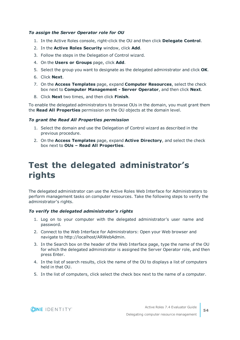#### *To assign the Server Operator role for OU*

- 1. In the Active Roles console, right-click the OU and then click **Delegate Control**.
- 2. In the **Active Roles Security** window, click **Add**.
- 3. Follow the steps in the Delegation of Control wizard.
- 4. On the **Users or Groups** page, click **Add**.
- 5. Select the group you want to designate as the delegated administrator and click **OK**.
- 6. Click **Next**.
- 7. On the **Access Templates** page, expand **Computer Resources**, select the check box next to **Computer Management - Server Operator**, and then click **Next**.
- 8. Click **Next** two times, and then click **Finish**.

To enable the delegated administrators to browse OUs in the domain, you must grant them the **Read All Properties** permission on the OU objects at the domain level.

#### *To grant the Read All Properties permission*

- 1. Select the domain and use the Delegation of Control wizard as described in the previous procedure.
- 2. On the **Access Templates** page, expand **Active Directory**, and select the check box next to **OUs – Read All Properties**.

## <span id="page-53-0"></span>**Test the delegated administrator's rights**

The delegated administrator can use the Active Roles Web Interface for Administrators to perform management tasks on computer resources. Take the following steps to verify the administrator's rights.

#### *To verify the delegated administrator's rights*

- 1. Log on to your computer with the delegated administrator's user name and password.
- 2. Connect to the Web Interface for Administrators: Open your Web browser and navigate to http://localhost/ARWebAdmin.
- 3. In the Search box on the header of the Web Interface page, type the name of the OU for which the delegated administrator is assigned the Server Operator role, and then press Enter.
- 4. In the list of search results, click the name of the OU to displays a list of computers held in that OU.
- 5. In the list of computers, click select the check box next to the name of a computer.

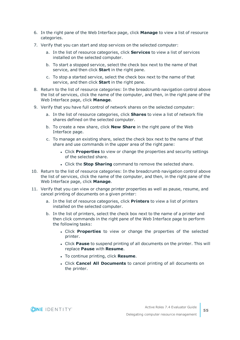- 6. In the right pane of the Web Interface page, click **Manage** to view a list of resource categories.
- 7. Verify that you can start and stop services on the selected computer:
	- a. In the list of resource categories, click **Services** to view a list of services installed on the selected computer.
	- b. To start a stopped service, select the check box next to the name of that service, and then click **Start** in the right pane.
	- c. To stop a started service, select the check box next to the name of that service, and then click **Start** in the right pane.
- 8. Return to the list of resource categories: In the breadcrumb navigation control above the list of services, click the name of the computer, and then, in the right pane of the Web Interface page, click **Manage**.
- 9. Verify that you have full control of network shares on the selected computer:
	- a. In the list of resource categories, click **Shares** to view a list of network file shares defined on the selected computer.
	- b. To create a new share, click **New Share** in the right pane of the Web Interface page.
	- c. To manage an existing share, select the check box next to the name of that share and use commands in the upper area of the right pane:
		- **.** Click **Properties** to view or change the properties and security settings of the selected share.
		- <sup>l</sup> Click the **Stop Sharing** command to remove the selected share.
- 10. Return to the list of resource categories: In the breadcrumb navigation control above the list of services, click the name of the computer, and then, in the right pane of the Web Interface page, click **Manage**.
- 11. Verify that you can view or change printer properties as well as pause, resume, and cancel printing of documents on a given printer:
	- a. In the list of resource categories, click **Printers** to view a list of printers installed on the selected computer.
	- b. In the list of printers, select the check box next to the name of a printer and then click commands in the right pane of the Web Interface page to perform the following tasks:
		- **.** Click **Properties** to view or change the properties of the selected printer.
		- **.** Click **Pause** to suspend printing of all documents on the printer. This will replace **Pause** with **Resume**.
		- **.** To continue printing, click **Resume**.
		- <sup>l</sup> Click **Cancel All Documents** to cancel printing of all documents on the printer.

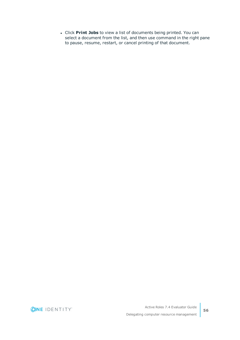<sup>l</sup> Click **Print Jobs** to view a list of documents being printed. You can select a document from the list, and then use command in the right pane to pause, resume, restart, or cancel printing of that document.

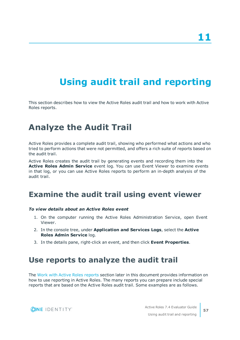# <span id="page-56-0"></span>**Using audit trail and reporting**

This section describes how to view the Active Roles audit trail and how to work with Active Roles reports.

## <span id="page-56-1"></span>**Analyze the Audit Trail**

Active Roles provides a complete audit trail, showing who performed what actions and who tried to perform actions that were not permitted, and offers a rich suite of reports based on the audit trail.

Active Roles creates the audit trail by generating events and recording them into the **Active Roles Admin Service** event log. You can use Event Viewer to examine events in that log, or you can use Active Roles reports to perform an in-depth analysis of the audit trail.

### <span id="page-56-2"></span>**Examine the audit trail using event viewer**

#### *To view details about an Active Roles event*

- 1. On the computer running the Active Roles Administration Service, open Event Viewer.
- 2. In the console tree, under **Application and Services Logs**, select the **Active Roles Admin Service** log.
- <span id="page-56-3"></span>3. In the details pane, right-click an event, and then click **Event Properties**.

### **Use reports to analyze the audit trail**

The Work with Active Roles [reports](#page-57-0) section later in this document provides information on how to use reporting in Active Roles. The many reports you can prepare include special reports that are based on the Active Roles audit trail. Some examples are as follows.

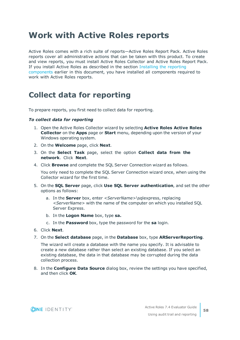## <span id="page-57-0"></span>**Work with Active Roles reports**

Active Roles comes with a rich suite of reports—Active Roles Report Pack. Active Roles reports cover all administrative actions that can be taken with this product. To create and view reports, you must install Active Roles Collector and Active Roles Report Pack. If you install Active Roles as described in the section [Installing](#page-9-0) the reporting [components](#page-9-0) earlier in this document, you have installed all components required to work with Active Roles reports.

### <span id="page-57-1"></span>**Collect data for reporting**

To prepare reports, you first need to collect data for reporting.

#### *To collect data for reporting*

- 1. Open the Active Roles Collector wizard by selecting **Active Roles Active Roles Collector** on the **Apps** page or **Start** menu, depending upon the version of your Windows operating system.
- 2. On the **Welcome** page, click **Next**.
- 3. On the **Select Task** page, select the option **Collect data from the network**. Click **Next**.
- 4. Click **Browse** and complete the SQL Server Connection wizard as follows.

You only need to complete the SQL Server Connection wizard once, when using the Collector wizard for the first time.

- 5. On the **SQL Server** page, click **Use SQL Server authentication**, and set the other options as follows:
	- a. In the **Server** box, enter *<ServerName>*\sqlexpress, replacing *<ServerName>* with the name of the computer on which you installed SQL Server Express.
	- b. In the **Logon Name** box, type **sa.**
	- c. In the **Password** box, type the password for the **sa** login.
- 6. Click **Next**.
- 7. On the **Select database** page, in the **Database** box, type **ARServerReporting**.

The wizard will create a database with the name you specify. It is advisable to create a new database rather than select an existing database. If you select an existing database, the data in that database may be corrupted during the data collection process.

8. In the **Configure Data Source** dialog box, review the settings you have specified, and then click **OK**.

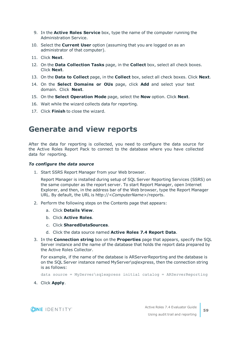- 9. In the **Active Roles Service** box, type the name of the computer running the Administration Service.
- 10. Select the **Current User** option (assuming that you are logged on as an administrator of that computer).
- 11. Click **Next**.
- 12. On the **Data Collection Tasks** page, in the **Collect** box, select all check boxes. Click **Next**.
- 13. On the **Data to Collect** page, in the **Collect** box, select all check boxes. Click **Next**.
- 14. On the **Select Domains or OUs** page, click **Add** and select your test domain. Click **Next**.
- 15. On the **Select Operation Mode** page, select the **Now** option. Click **Next**.
- 16. Wait while the wizard collects data for reporting.
- <span id="page-58-0"></span>17. Click **Finish** to close the wizard.

### **Generate and view reports**

After the data for reporting is collected, you need to configure the data source for the Active Roles Report Pack to connect to the database where you have collected data for reporting.

#### *To configure the data source*

1. Start SSRS Report Manager from your Web browser.

Report Manager is installed during setup of SQL Server Reporting Services (SSRS) on the same computer as the report server. To start Report Manager, open Internet Explorer, and then, in the address bar of the Web browser, type the Report Manager URL. By default, the URL is http://*<ComputerName>*/reports.

- 2. Perform the following steps on the Contents page that appears:
	- a. Click **Details View**.
	- b. Click **Active Roles**.
	- c. Click **SharedDataSources**.
	- d. Click the data source named **Active Roles 7.4 Report Data**.
- 3. In the **Connection string** box on the **Properties** page that appears, specify the SQL Server instance and the name of the database that holds the report data prepared by the Active Roles Collector.

For example, if the name of the database is ARServerReporting and the database is on the SQL Server instance named MyServer\sqlexpress, then the connection string is as follows:

data source = MyServer\sqlexpress initial catalog = ARServerReporting

4. Click **Apply**.

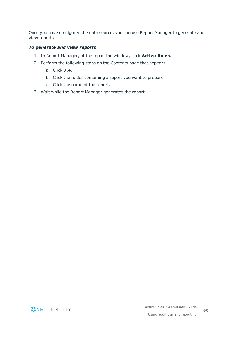Once you have configured the data source, you can use Report Manager to generate and view reports.

#### *To generate and view reports*

- 1. In Report Manager, at the top of the window, click **Active Roles**.
- 2. Perform the following steps on the Contents page that appears:
	- a. Click **7.4**.
	- b. Click the folder containing a report you want to prepare.
	- c. Click the name of the report.
- 3. Wait while the Report Manager generates the report.

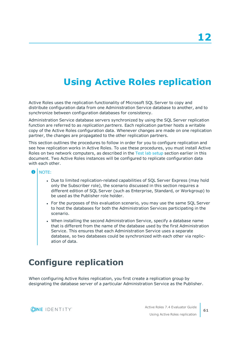# **Using Active Roles replication**

<span id="page-60-0"></span>Active Roles uses the replication functionality of Microsoft SQL Server to copy and distribute configuration data from one Administration Service database to another, and to synchronize between configuration databases for consistency.

Administration Service database servers synchronized by using the SQL Server replication function are referred to as *replication partners*. Each replication partner hosts a writable copy of the Active Roles configuration data. Whenever changes are made on one replication partner, the changes are propagated to the other replication partners.

This section outlines the procedures to follow in order for you to configure replication and see how replication works in Active Roles. To use these procedures, you must install Active Roles on two network computers, as described in the Test lab [setup](#page-6-0) section earlier in this document. Two Active Roles instances will be configured to replicate configuration data with each other.

#### 6 NOTE:

- Due to limited replication-related capabilities of SQL Server Express (may hold only the Subscriber role), the scenario discussed in this section requires a different edition of SQL Server (such as Enterprise, Standard, or Workgroup) to be used as the Publisher role holder.
- For the purposes of this evaluation scenario, you may use the same SQL Server to host the databases for both the Administration Services participating in the scenario.
- When installing the second Administration Service, specify a database name that is different from the name of the database used by the first Administration Service. This ensures that each Administration Service uses a separate database, so two databases could be synchronized with each other via replication of data.

## <span id="page-60-1"></span>**Configure replication**

When configuring Active Roles replication, you first create a replication group by designating the database server of a particular Administration Service as the Publisher.

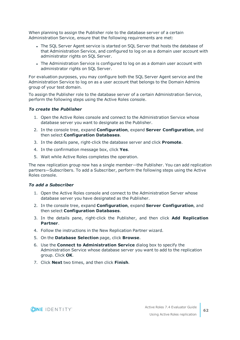When planning to assign the Publisher role to the database server of a certain Administration Service, ensure that the following requirements are met:

- The SQL Server Agent service is started on SQL Server that hosts the database of that Administration Service, and configured to log on as a domain user account with administrator rights on SQL Server.
- The Administration Service is configured to log on as a domain user account with administrator rights on SQL Server.

For evaluation purposes, you may configure both the SQL Server Agent service and the Administration Service to log on as a user account that belongs to the Domain Admins group of your test domain.

To assign the Publisher role to the database server of a certain Administration Service, perform the following steps using the Active Roles console.

#### *To create the Publisher*

- 1. Open the Active Roles console and connect to the Administration Service whose database server you want to designate as the Publisher.
- 2. In the console tree, expand **Configuration**, expand **Server Configuration**, and then select **Configuration Databases**.
- 3. In the details pane, right-click the database server and click **Promote**.
- 4. In the confirmation message box, click **Yes**.
- 5. Wait while Active Roles completes the operation.

The new replication group now has a single member—the Publisher. You can add replication partners—Subscribers. To add a Subscriber, perform the following steps using the Active Roles console.

#### *To add a Subscriber*

- 1. Open the Active Roles console and connect to the Administration Server whose database server you have designated as the Publisher.
- 2. In the console tree, expand **Configuration**, expand **Server Configuration**, and then select **Configuration Databases**.
- 3. In the details pane, right-click the Publisher, and then click **Add Replication Partner**.
- 4. Follow the instructions in the New Replication Partner wizard.
- 5. On the **Database Selection** page, click **Browse**.
- 6. Use the **Connect to Administration Service** dialog box to specify the Administration Service whose database server you want to add to the replication group. Click **OK**.
- 7. Click **Next** two times, and then click **Finish**.

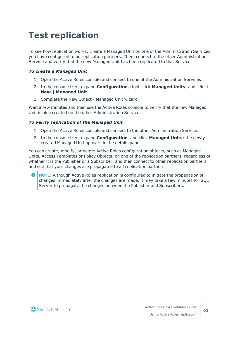# <span id="page-62-0"></span>**Test replication**

To see how replication works, create a Managed Unit on one of the Administration Services you have configured to be replication partners. Then, connect to the other Administration Service and verify that the new Managed Unit has been replicated to that Service.

#### *To create a Managed Unit*

- 1. Open the Active Roles console and connect to one of the Administration Services.
- 2. In the console tree, expand **Configuration**, right-click **Managed Units**, and select **New | Managed Unit**.
- 3. Complete the New Object Managed Unit wizard.

Wait a few minutes and then use the Active Roles console to verify that the new Managed Unit is also created on the other Administration Service.

#### *To verify replication of the Managed Unit*

- 1. Open the Active Roles console and connect to the other Administration Service.
- 2. In the console tree, expand **Configuration**, and click **Managed Units**: the newly created Managed Unit appears in the details pane.

You can create, modify, or delete Active Roles configuration objects, such as Managed Units, Access Templates or Policy Objects, on one of the replication partners, regardless of whether it is the Publisher or a Subscriber, and then connect to other replication partners and see that your changes are propagated to all replication partners.

6 NOTE: Although Active Roles replication is configured to initiate the propagation of changes immediately after the changes are made, it may take a few minutes for SQL Server to propagate the changes between the Publisher and Subscribers.

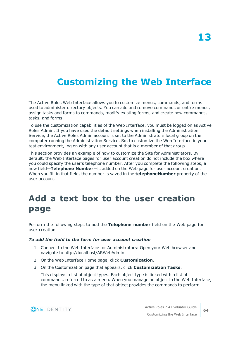# <span id="page-63-0"></span>**Customizing the Web Interface**

The Active Roles Web Interface allows you to customize menus, commands, and forms used to administer directory objects. You can add and remove commands or entire menus, assign tasks and forms to commands, modify existing forms, and create new commands, tasks, and forms.

To use the customization capabilities of the Web Interface, you must be logged on as Active Roles Admin. If you have used the default settings when installing the Administration Service, the Active Roles Admin account is set to the Administrators local group on the computer running the Administration Service. So, to customize the Web Interface in your test environment, log on with any user account that is a member of that group.

This section provides an example of how to customize the Site for Administrators. By default, the Web Interface pages for user account creation do not include the box where you could specify the user's telephone number. After you complete the following steps, a new field—**Telephone Number**—is added on the Web page for user account creation. When you fill in that field, the number is saved in the **telephoneNumber** property of the user account.

## <span id="page-63-1"></span>**Add a text box to the user creation page**

Perform the following steps to add the **Telephone number** field on the Web page for user creation.

#### *To add the field to the form for user account creation*

- 1. Connect to the Web Interface for Administrators: Open your Web browser and navigate to http://localhost/ARWebAdmin.
- 2. On the Web Interface Home page, click **Customization**.
- 3. On the Customization page that appears, click **Customization Tasks**.

This displays a list of object types. Each object type is linked with a list of commands, referred to as a menu. When you manage an object in the Web Interface, the menu linked with the type of that object provides the commands to perform

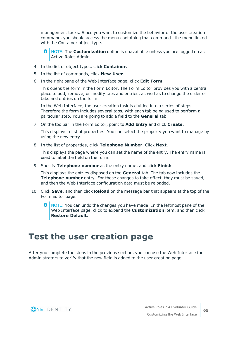management tasks. Since you want to customize the behavior of the user creation command, you should access the menu containing that command—the menu linked with the Container object type.

- **O** NOTE: The **Customization** option is unavailable unless you are logged on as Active Roles Admin.
- 4. In the list of object types, click **Container**.
- 5. In the list of commands, click **New User**.
- 6. In the right pane of the Web Interface page, click **Edit Form**.

This opens the form in the Form Editor. The Form Editor provides you with a central place to add, remove, or modify tabs and entries, as well as to change the order of tabs and entries on the form.

In the Web Interface, the user creation task is divided into a series of steps. Therefore the form includes several tabs, with each tab being used to perform a particular step. You are going to add a field to the **General** tab.

7. On the toolbar in the Form Editor, point to **Add Entry** and click **Create**.

This displays a list of properties. You can select the property you want to manage by using the new entry.

8. In the list of properties, click **Telephone Number**. Click **Next**.

This displays the page where you can set the name of the entry. The entry name is used to label the field on the form.

9. Specify **Telephone number** as the entry name, and click **Finish**.

This displays the entries disposed on the **General** tab. The tab now includes the **Telephone number** entry. For these changes to take effect, they must be saved, and then the Web Interface configuration data must be reloaded.

- 10. Click **Save**, and then click **Reload** on the message bar that appears at the top of the Form Editor page.
	- **O** NOTE: You can undo the changes you have made: In the leftmost pane of the Web Interface page, click to expand the **Customization** item, and then click **Restore Default**.

### <span id="page-64-0"></span>**Test the user creation page**

After you complete the steps in the previous section, you can use the Web Interface for Administrators to verify that the new field is added to the user creation page.

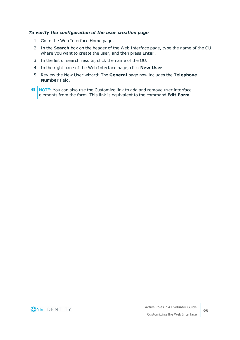#### *To verify the configuration of the user creation page*

- 1. Go to the Web Interface Home page.
- 2. In the **Search** box on the header of the Web Interface page, type the name of the OU where you want to create the user, and then press **Enter**.
- 3. In the list of search results, click the name of the OU.
- 4. In the right pane of the Web Interface page, click **New User**.
- 5. Review the New User wizard: The **General** page now includes the **Telephone Number** field.
- **O** NOTE: You can also use the Customize link to add and remove user interface elements from the form. This link is equivalent to the command **Edit Form**.